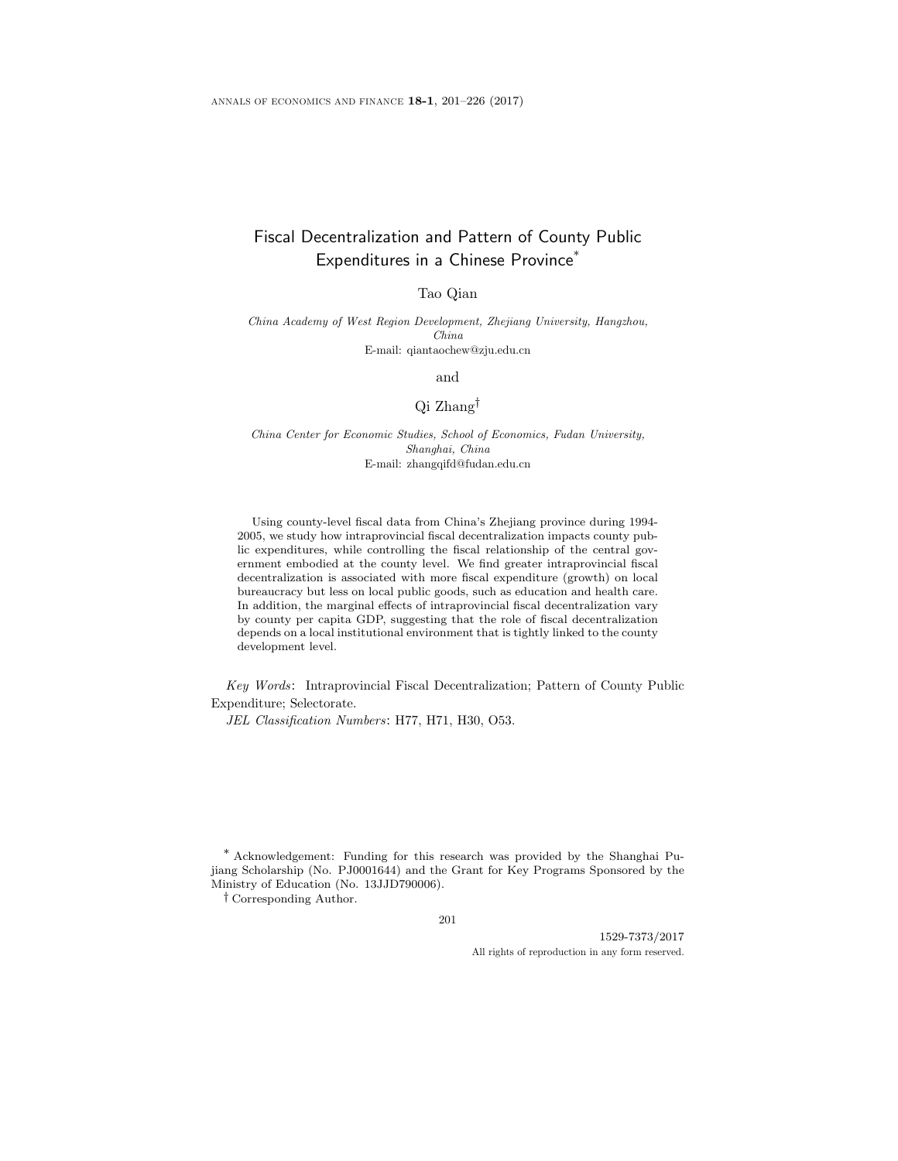# Fiscal Decentralization and Pattern of County Public Expenditures in a Chinese Province<sup>\*</sup>

Tao Qian

China Academy of West Region Development, Zhejiang University, Hangzhou, China E-mail: qiantaochew@zju.edu.cn

and

### Qi Zhang†

China Center for Economic Studies, School of Economics, Fudan University, Shanghai, China E-mail: zhangqifd@fudan.edu.cn

Using county-level fiscal data from China's Zhejiang province during 1994- 2005, we study how intraprovincial fiscal decentralization impacts county public expenditures, while controlling the fiscal relationship of the central government embodied at the county level. We find greater intraprovincial fiscal decentralization is associated with more fiscal expenditure (growth) on local bureaucracy but less on local public goods, such as education and health care. In addition, the marginal effects of intraprovincial fiscal decentralization vary by county per capita GDP, suggesting that the role of fiscal decentralization depends on a local institutional environment that is tightly linked to the county development level.

Key Words: Intraprovincial Fiscal Decentralization; Pattern of County Public Expenditure; Selectorate.

JEL Classification Numbers: H77, H71, H30, O53.

\* Acknowledgement: Funding for this research was provided by the Shanghai Pujiang Scholarship (No. PJ0001644) and the Grant for Key Programs Sponsored by the Ministry of Education (No. 13JJD790006).

† Corresponding Author.

201

1529-7373/2017 All rights of reproduction in any form reserved.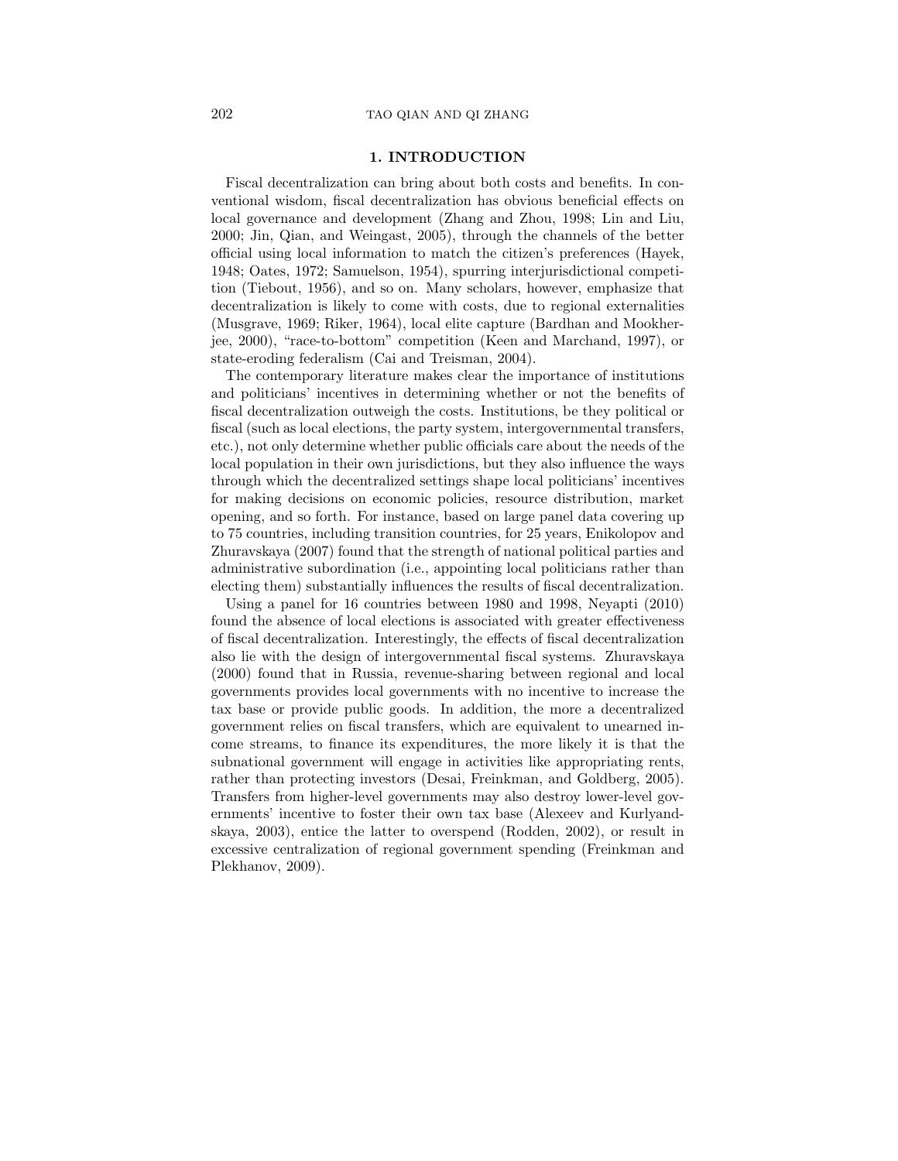## 1. INTRODUCTION

Fiscal decentralization can bring about both costs and benefits. In conventional wisdom, fiscal decentralization has obvious beneficial effects on local governance and development (Zhang and Zhou, 1998; Lin and Liu, 2000; Jin, Qian, and Weingast, 2005), through the channels of the better official using local information to match the citizen's preferences (Hayek, 1948; Oates, 1972; Samuelson, 1954), spurring interjurisdictional competition (Tiebout, 1956), and so on. Many scholars, however, emphasize that decentralization is likely to come with costs, due to regional externalities (Musgrave, 1969; Riker, 1964), local elite capture (Bardhan and Mookherjee, 2000), "race-to-bottom" competition (Keen and Marchand, 1997), or state-eroding federalism (Cai and Treisman, 2004).

The contemporary literature makes clear the importance of institutions and politicians' incentives in determining whether or not the benefits of fiscal decentralization outweigh the costs. Institutions, be they political or fiscal (such as local elections, the party system, intergovernmental transfers, etc.), not only determine whether public officials care about the needs of the local population in their own jurisdictions, but they also influence the ways through which the decentralized settings shape local politicians' incentives for making decisions on economic policies, resource distribution, market opening, and so forth. For instance, based on large panel data covering up to 75 countries, including transition countries, for 25 years, Enikolopov and Zhuravskaya (2007) found that the strength of national political parties and administrative subordination (i.e., appointing local politicians rather than electing them) substantially influences the results of fiscal decentralization.

Using a panel for 16 countries between 1980 and 1998, Neyapti (2010) found the absence of local elections is associated with greater effectiveness of fiscal decentralization. Interestingly, the effects of fiscal decentralization also lie with the design of intergovernmental fiscal systems. Zhuravskaya (2000) found that in Russia, revenue-sharing between regional and local governments provides local governments with no incentive to increase the tax base or provide public goods. In addition, the more a decentralized government relies on fiscal transfers, which are equivalent to unearned income streams, to finance its expenditures, the more likely it is that the subnational government will engage in activities like appropriating rents, rather than protecting investors (Desai, Freinkman, and Goldberg, 2005). Transfers from higher-level governments may also destroy lower-level governments' incentive to foster their own tax base (Alexeev and Kurlyandskaya, 2003), entice the latter to overspend (Rodden, 2002), or result in excessive centralization of regional government spending (Freinkman and Plekhanov, 2009).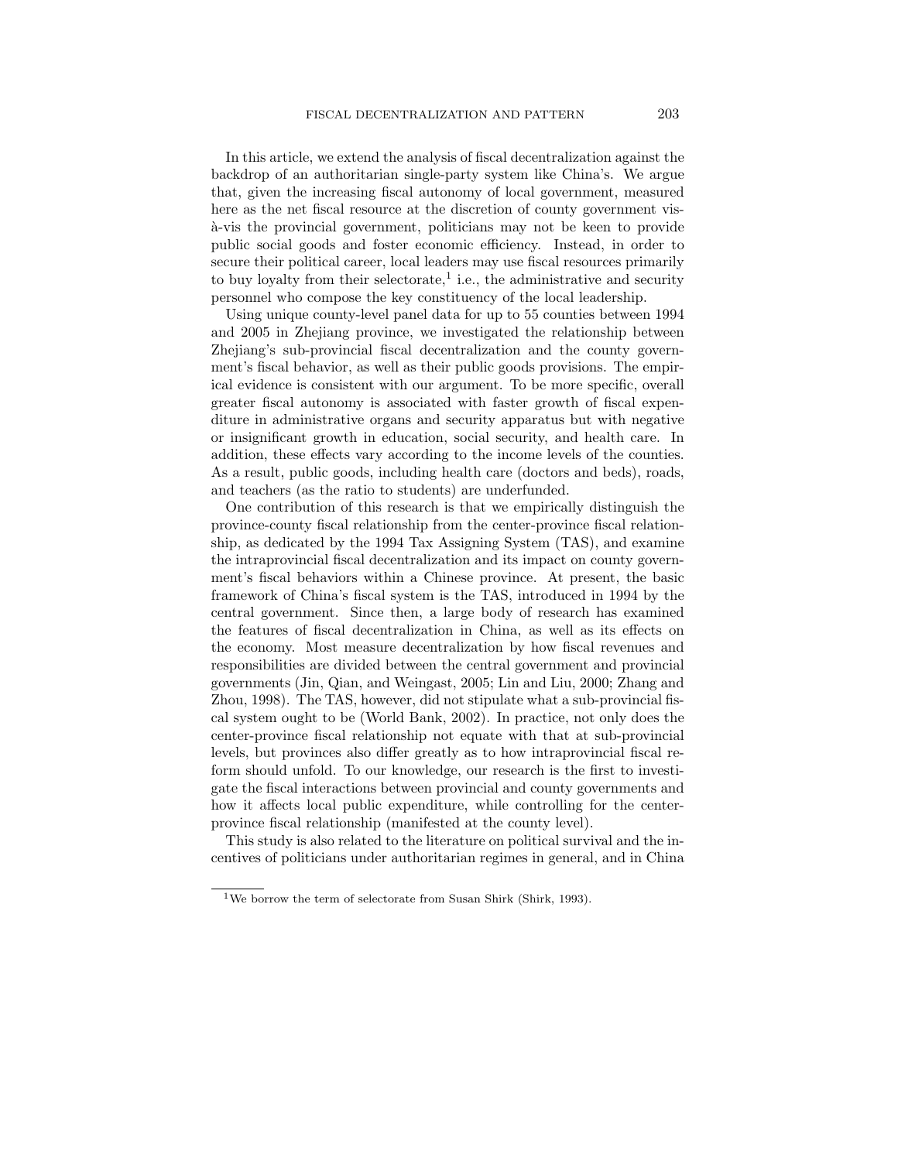In this article, we extend the analysis of fiscal decentralization against the backdrop of an authoritarian single-party system like China's. We argue that, given the increasing fiscal autonomy of local government, measured here as the net fiscal resource at the discretion of county government vis- `a-vis the provincial government, politicians may not be keen to provide public social goods and foster economic efficiency. Instead, in order to secure their political career, local leaders may use fiscal resources primarily to buy loyalty from their selectorate,<sup>1</sup> i.e., the administrative and security personnel who compose the key constituency of the local leadership.

Using unique county-level panel data for up to 55 counties between 1994 and 2005 in Zhejiang province, we investigated the relationship between Zhejiang's sub-provincial fiscal decentralization and the county government's fiscal behavior, as well as their public goods provisions. The empirical evidence is consistent with our argument. To be more specific, overall greater fiscal autonomy is associated with faster growth of fiscal expenditure in administrative organs and security apparatus but with negative or insignificant growth in education, social security, and health care. In addition, these effects vary according to the income levels of the counties. As a result, public goods, including health care (doctors and beds), roads, and teachers (as the ratio to students) are underfunded.

One contribution of this research is that we empirically distinguish the province-county fiscal relationship from the center-province fiscal relationship, as dedicated by the 1994 Tax Assigning System (TAS), and examine the intraprovincial fiscal decentralization and its impact on county government's fiscal behaviors within a Chinese province. At present, the basic framework of China's fiscal system is the TAS, introduced in 1994 by the central government. Since then, a large body of research has examined the features of fiscal decentralization in China, as well as its effects on the economy. Most measure decentralization by how fiscal revenues and responsibilities are divided between the central government and provincial governments (Jin, Qian, and Weingast, 2005; Lin and Liu, 2000; Zhang and Zhou, 1998). The TAS, however, did not stipulate what a sub-provincial fiscal system ought to be (World Bank, 2002). In practice, not only does the center-province fiscal relationship not equate with that at sub-provincial levels, but provinces also differ greatly as to how intraprovincial fiscal reform should unfold. To our knowledge, our research is the first to investigate the fiscal interactions between provincial and county governments and how it affects local public expenditure, while controlling for the centerprovince fiscal relationship (manifested at the county level).

This study is also related to the literature on political survival and the incentives of politicians under authoritarian regimes in general, and in China

<sup>&</sup>lt;sup>1</sup>We borrow the term of selectorate from Susan Shirk (Shirk, 1993).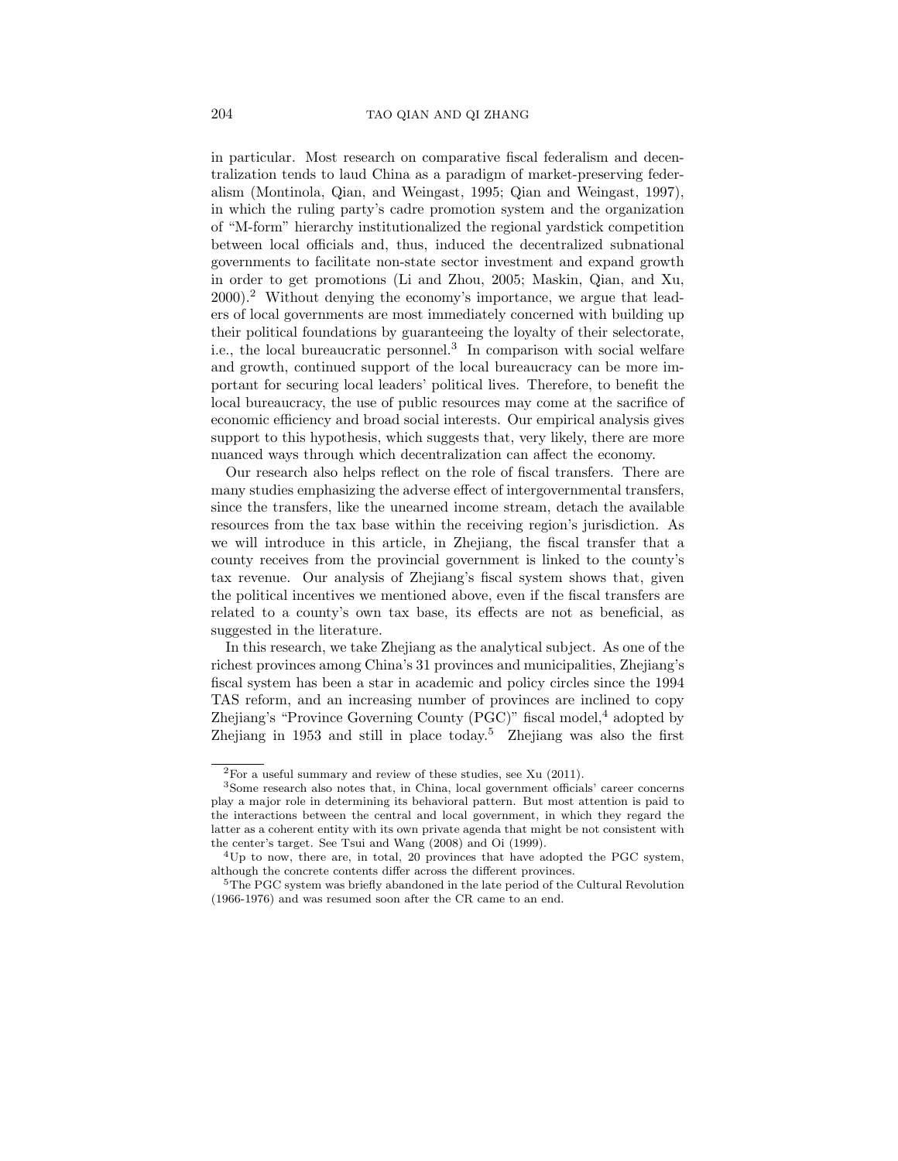in particular. Most research on comparative fiscal federalism and decentralization tends to laud China as a paradigm of market-preserving federalism (Montinola, Qian, and Weingast, 1995; Qian and Weingast, 1997), in which the ruling party's cadre promotion system and the organization of "M-form" hierarchy institutionalized the regional yardstick competition between local officials and, thus, induced the decentralized subnational governments to facilitate non-state sector investment and expand growth in order to get promotions (Li and Zhou, 2005; Maskin, Qian, and Xu, 2000).<sup>2</sup> Without denying the economy's importance, we argue that leaders of local governments are most immediately concerned with building up their political foundations by guaranteeing the loyalty of their selectorate, i.e., the local bureaucratic personnel.<sup>3</sup> In comparison with social welfare and growth, continued support of the local bureaucracy can be more important for securing local leaders' political lives. Therefore, to benefit the local bureaucracy, the use of public resources may come at the sacrifice of economic efficiency and broad social interests. Our empirical analysis gives support to this hypothesis, which suggests that, very likely, there are more nuanced ways through which decentralization can affect the economy.

Our research also helps reflect on the role of fiscal transfers. There are many studies emphasizing the adverse effect of intergovernmental transfers, since the transfers, like the unearned income stream, detach the available resources from the tax base within the receiving region's jurisdiction. As we will introduce in this article, in Zhejiang, the fiscal transfer that a county receives from the provincial government is linked to the county's tax revenue. Our analysis of Zhejiang's fiscal system shows that, given the political incentives we mentioned above, even if the fiscal transfers are related to a county's own tax base, its effects are not as beneficial, as suggested in the literature.

In this research, we take Zhejiang as the analytical subject. As one of the richest provinces among China's 31 provinces and municipalities, Zhejiang's fiscal system has been a star in academic and policy circles since the 1994 TAS reform, and an increasing number of provinces are inclined to copy Zhejiang's "Province Governing County  $(PGC)$ " fiscal model,<sup>4</sup> adopted by Zhejiang in 1953 and still in place today.<sup>5</sup> Zhejiang was also the first

<sup>2</sup>For a useful summary and review of these studies, see Xu (2011).

<sup>3</sup>Some research also notes that, in China, local government officials' career concerns play a major role in determining its behavioral pattern. But most attention is paid to the interactions between the central and local government, in which they regard the latter as a coherent entity with its own private agenda that might be not consistent with the center's target. See Tsui and Wang (2008) and Oi (1999).

<sup>&</sup>lt;sup>4</sup>Up to now, there are, in total, 20 provinces that have adopted the PGC system, although the concrete contents differ across the different provinces.

<sup>&</sup>lt;sup>5</sup>The PGC system was briefly abandoned in the late period of the Cultural Revolution (1966-1976) and was resumed soon after the CR came to an end.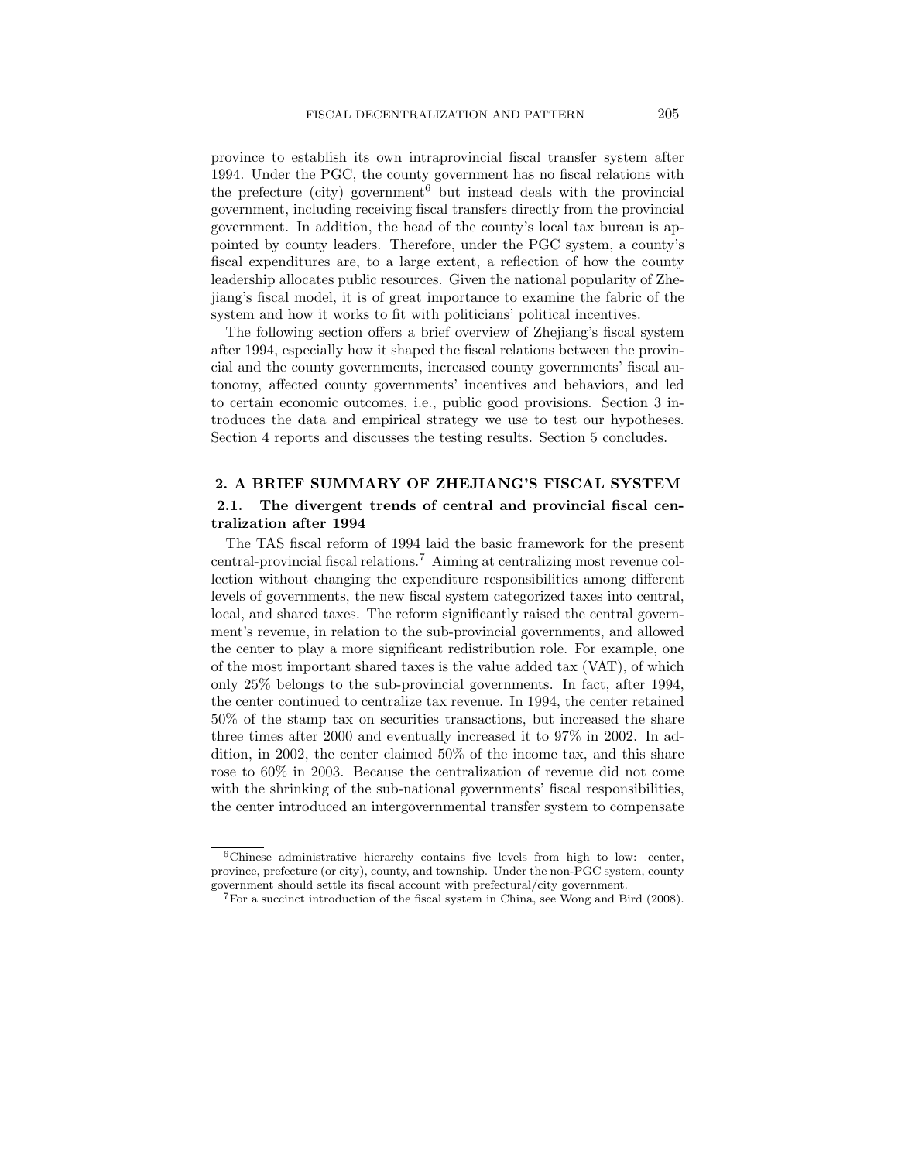province to establish its own intraprovincial fiscal transfer system after 1994. Under the PGC, the county government has no fiscal relations with the prefecture (city) government<sup>6</sup> but instead deals with the provincial government, including receiving fiscal transfers directly from the provincial government. In addition, the head of the county's local tax bureau is appointed by county leaders. Therefore, under the PGC system, a county's fiscal expenditures are, to a large extent, a reflection of how the county leadership allocates public resources. Given the national popularity of Zhejiang's fiscal model, it is of great importance to examine the fabric of the system and how it works to fit with politicians' political incentives.

The following section offers a brief overview of Zhejiang's fiscal system after 1994, especially how it shaped the fiscal relations between the provincial and the county governments, increased county governments' fiscal autonomy, affected county governments' incentives and behaviors, and led to certain economic outcomes, i.e., public good provisions. Section 3 introduces the data and empirical strategy we use to test our hypotheses. Section 4 reports and discusses the testing results. Section 5 concludes.

# 2. A BRIEF SUMMARY OF ZHEJIANG'S FISCAL SYSTEM

## 2.1. The divergent trends of central and provincial fiscal centralization after 1994

The TAS fiscal reform of 1994 laid the basic framework for the present central-provincial fiscal relations.<sup>7</sup> Aiming at centralizing most revenue collection without changing the expenditure responsibilities among different levels of governments, the new fiscal system categorized taxes into central, local, and shared taxes. The reform significantly raised the central government's revenue, in relation to the sub-provincial governments, and allowed the center to play a more significant redistribution role. For example, one of the most important shared taxes is the value added tax (VAT), of which only 25% belongs to the sub-provincial governments. In fact, after 1994, the center continued to centralize tax revenue. In 1994, the center retained 50% of the stamp tax on securities transactions, but increased the share three times after 2000 and eventually increased it to 97% in 2002. In addition, in 2002, the center claimed 50% of the income tax, and this share rose to 60% in 2003. Because the centralization of revenue did not come with the shrinking of the sub-national governments' fiscal responsibilities, the center introduced an intergovernmental transfer system to compensate

<sup>6</sup>Chinese administrative hierarchy contains five levels from high to low: center, province, prefecture (or city), county, and township. Under the non-PGC system, county government should settle its fiscal account with prefectural/city government.

<sup>7</sup>For a succinct introduction of the fiscal system in China, see Wong and Bird (2008).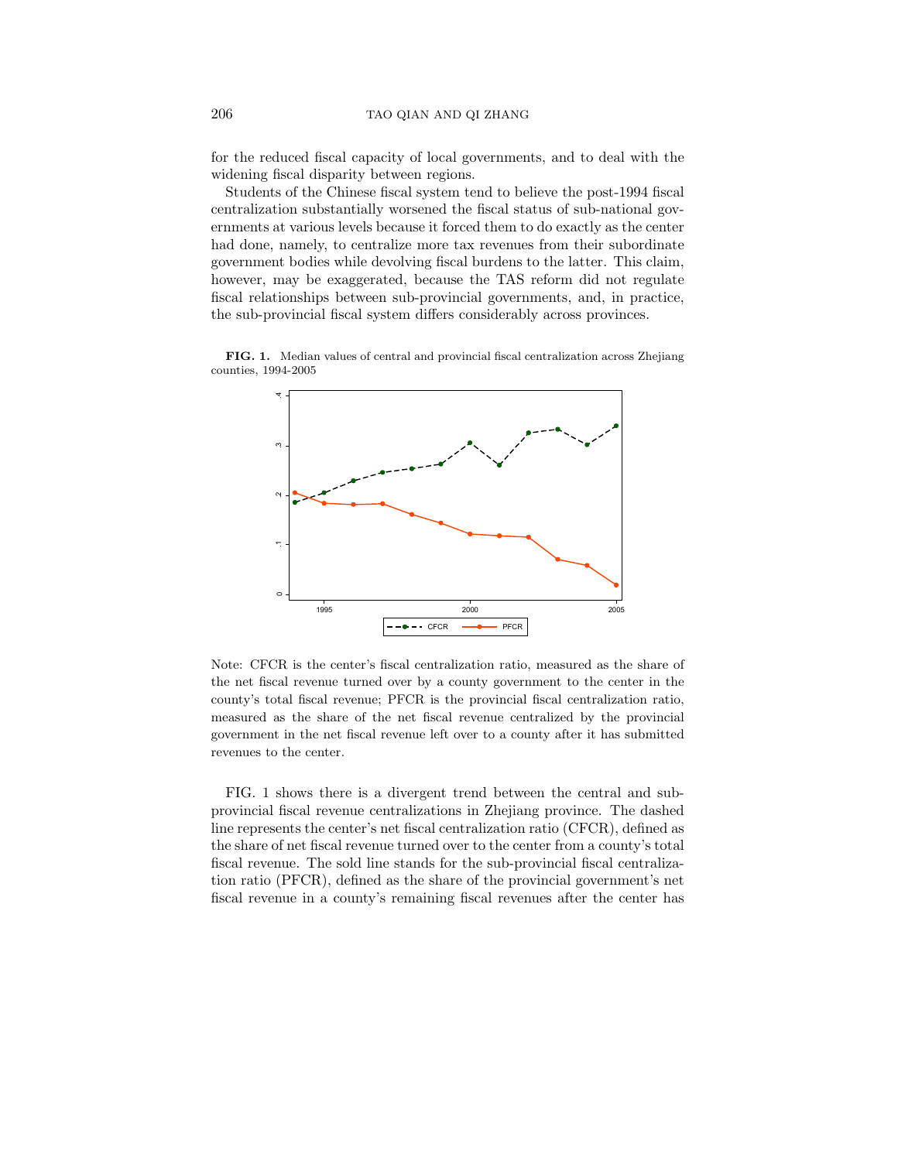for the reduced fiscal capacity of local governments, and to deal with the widening fiscal disparity between regions.

Students of the Chinese fiscal system tend to believe the post-1994 fiscal centralization substantially worsened the fiscal status of sub-national governments at various levels because it forced them to do exactly as the center had done, namely, to centralize more tax revenues from their subordinate government bodies while devolving fiscal burdens to the latter. This claim, however, may be exaggerated, because the TAS reform did not regulate fiscal relationships between sub-provincial governments, and, in practice, the sub-provincial fiscal system differs considerably across provinces.

FIG. 1. Median values of central and provincial fiscal centralization across Zhejiang counties, 1994-2005



Note: CFCR is the center's fiscal centralization ratio, measured as the share of the net fiscal revenue turned over by a county government to the center in the county's total fiscal revenue; PFCR is the provincial fiscal centralization ratio, measured as the share of the net fiscal revenue centralized by the provincial government in the net fiscal revenue left over to a county after it has submitted revenues to the center.

FIG. 1 shows there is a divergent trend between the central and subprovincial fiscal revenue centralizations in Zhejiang province. The dashed line represents the center's net fiscal centralization ratio (CFCR), defined as the share of net fiscal revenue turned over to the center from a county's total fiscal revenue. The sold line stands for the sub-provincial fiscal centralization ratio (PFCR), defined as the share of the provincial government's net fiscal revenue in a county's remaining fiscal revenues after the center has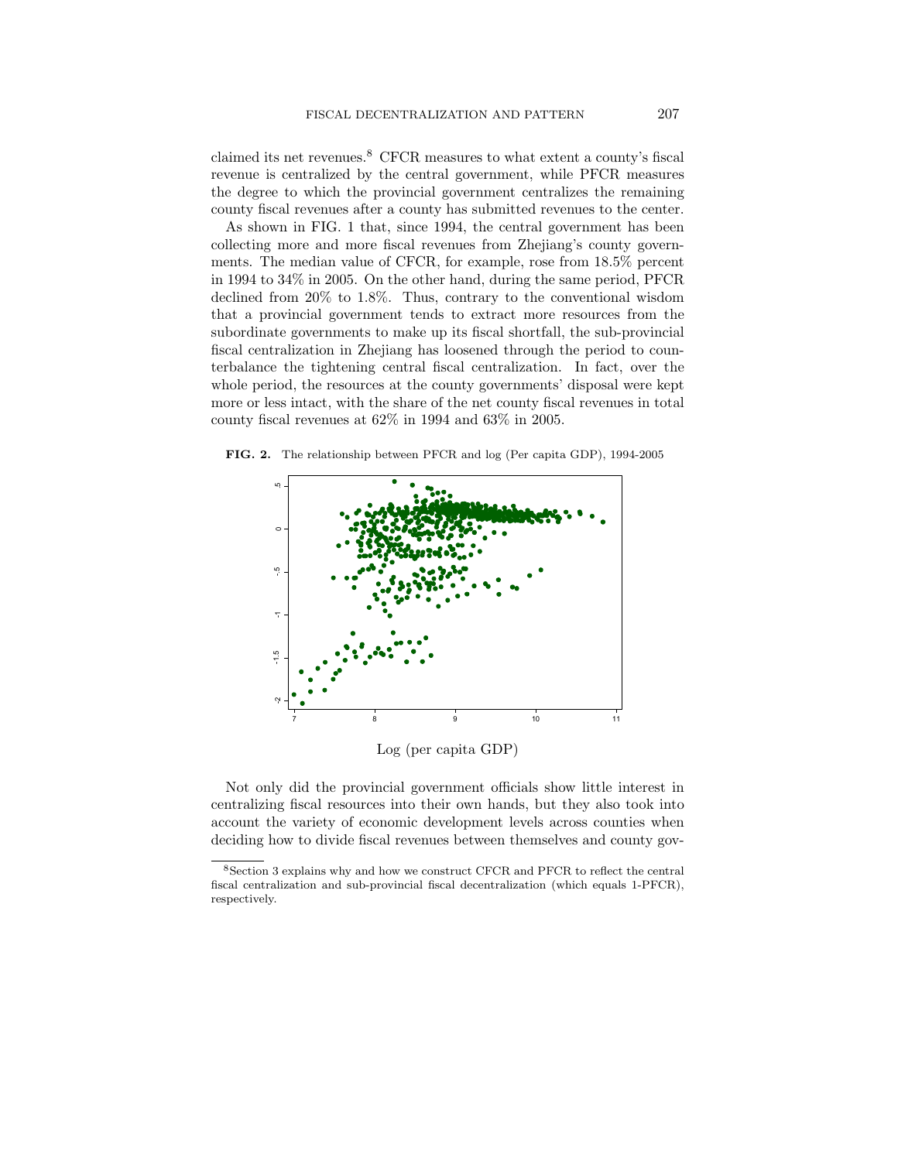claimed its net revenues.<sup>8</sup> CFCR measures to what extent a county's fiscal revenue is centralized by the central government, while PFCR measures the degree to which the provincial government centralizes the remaining county fiscal revenues after a county has submitted revenues to the center.

As shown in FIG. 1 that, since 1994, the central government has been collecting more and more fiscal revenues from Zhejiang's county governments. The median value of CFCR, for example, rose from 18.5% percent in 1994 to 34% in 2005. On the other hand, during the same period, PFCR declined from 20% to 1.8%. Thus, contrary to the conventional wisdom that a provincial government tends to extract more resources from the subordinate governments to make up its fiscal shortfall, the sub-provincial fiscal centralization in Zhejiang has loosened through the period to counterbalance the tightening central fiscal centralization. In fact, over the whole period, the resources at the county governments' disposal were kept more or less intact, with the share of the net county fiscal revenues in total county fiscal revenues at 62% in 1994 and 63% in 2005.

FIG. 2. The relationship between PFCR and log (Per capita GDP), 1994-2005



Log (per capita GDP)

Not only did the provincial government officials show little interest in centralizing fiscal resources into their own hands, but they also took into account the variety of economic development levels across counties when deciding how to divide fiscal revenues between themselves and county gov-

<sup>8</sup>Section 3 explains why and how we construct CFCR and PFCR to reflect the central fiscal centralization and sub-provincial fiscal decentralization (which equals 1-PFCR), respectively.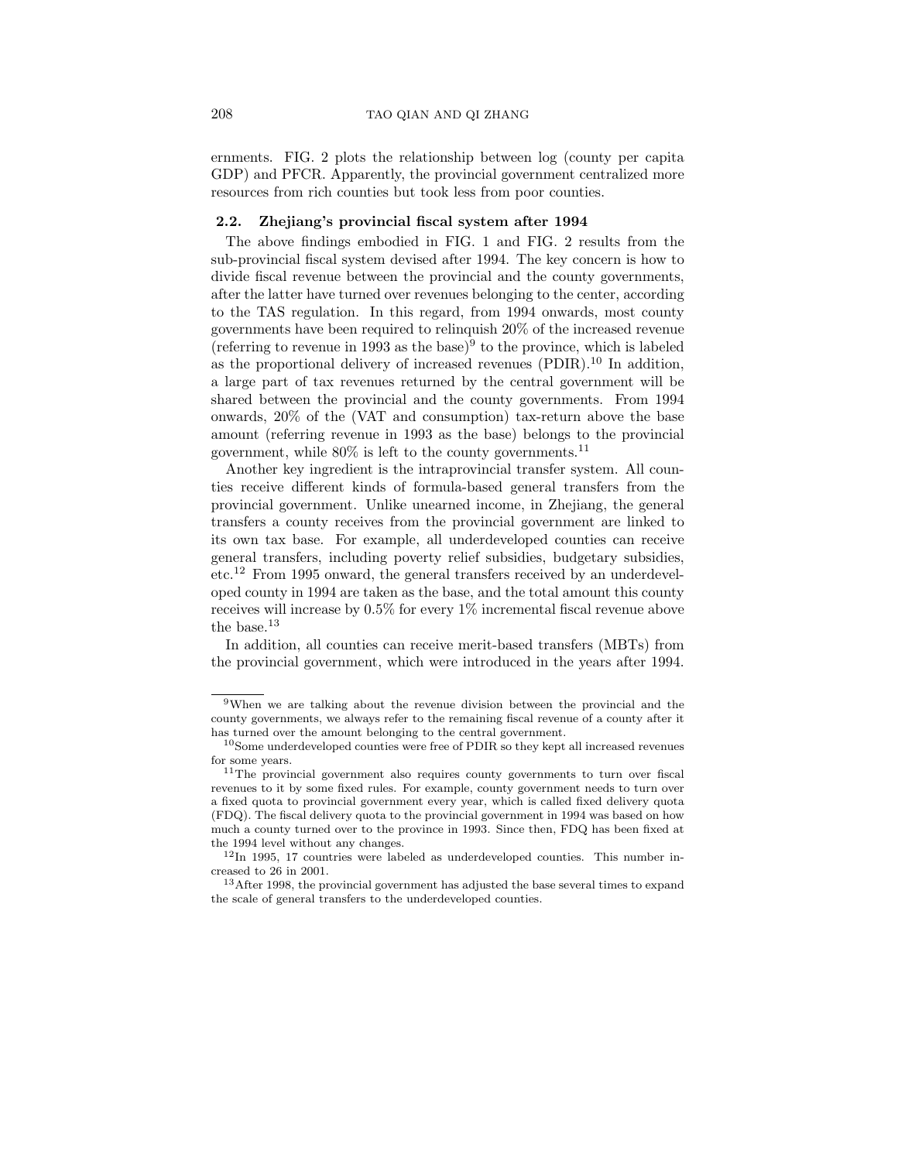ernments. FIG. 2 plots the relationship between log (county per capita GDP) and PFCR. Apparently, the provincial government centralized more resources from rich counties but took less from poor counties.

#### 2.2. Zhejiang's provincial fiscal system after 1994

The above findings embodied in FIG. 1 and FIG. 2 results from the sub-provincial fiscal system devised after 1994. The key concern is how to divide fiscal revenue between the provincial and the county governments, after the latter have turned over revenues belonging to the center, according to the TAS regulation. In this regard, from 1994 onwards, most county governments have been required to relinquish 20% of the increased revenue (referring to revenue in 1993 as the base)<sup>9</sup> to the province, which is labeled as the proportional delivery of increased revenues  $(PDIR)$ .<sup>10</sup> In addition, a large part of tax revenues returned by the central government will be shared between the provincial and the county governments. From 1994 onwards, 20% of the (VAT and consumption) tax-return above the base amount (referring revenue in 1993 as the base) belongs to the provincial government, while  $80\%$  is left to the county governments.<sup>11</sup>

Another key ingredient is the intraprovincial transfer system. All counties receive different kinds of formula-based general transfers from the provincial government. Unlike unearned income, in Zhejiang, the general transfers a county receives from the provincial government are linked to its own tax base. For example, all underdeveloped counties can receive general transfers, including poverty relief subsidies, budgetary subsidies, etc.<sup>12</sup> From 1995 onward, the general transfers received by an underdeveloped county in 1994 are taken as the base, and the total amount this county receives will increase by 0.5% for every 1% incremental fiscal revenue above the base.<sup>13</sup>

In addition, all counties can receive merit-based transfers (MBTs) from the provincial government, which were introduced in the years after 1994.

<sup>9</sup>When we are talking about the revenue division between the provincial and the county governments, we always refer to the remaining fiscal revenue of a county after it has turned over the amount belonging to the central government.

<sup>&</sup>lt;sup>10</sup>Some underdeveloped counties were free of PDIR so they kept all increased revenues for some years.

<sup>11</sup>The provincial government also requires county governments to turn over fiscal revenues to it by some fixed rules. For example, county government needs to turn over a fixed quota to provincial government every year, which is called fixed delivery quota (FDQ). The fiscal delivery quota to the provincial government in 1994 was based on how much a county turned over to the province in 1993. Since then, FDQ has been fixed at the 1994 level without any changes.

 $12$ In 1995, 17 countries were labeled as underdeveloped counties. This number increased to 26 in 2001.

<sup>13</sup>After 1998, the provincial government has adjusted the base several times to expand the scale of general transfers to the underdeveloped counties.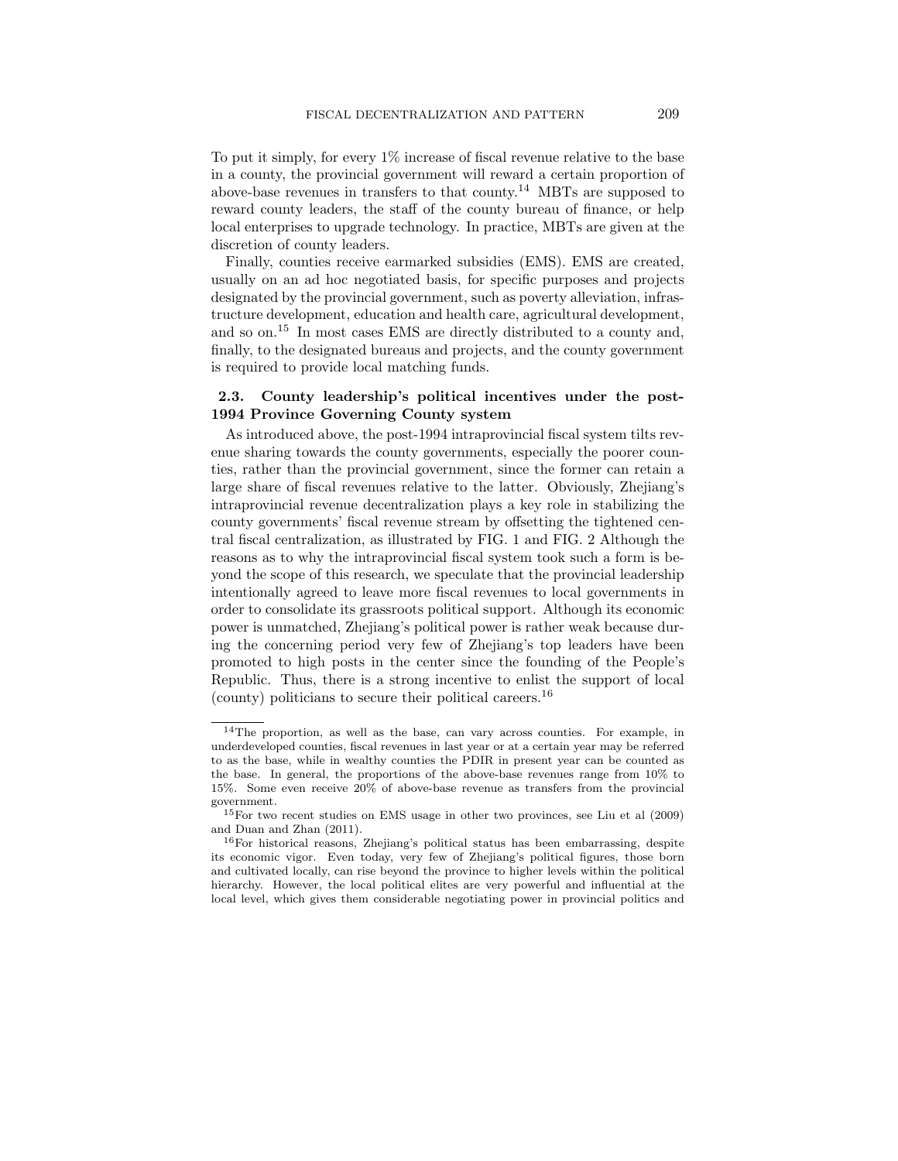To put it simply, for every 1% increase of fiscal revenue relative to the base in a county, the provincial government will reward a certain proportion of above-base revenues in transfers to that county.<sup>14</sup> MBTs are supposed to reward county leaders, the staff of the county bureau of finance, or help local enterprises to upgrade technology. In practice, MBTs are given at the discretion of county leaders.

Finally, counties receive earmarked subsidies (EMS). EMS are created, usually on an ad hoc negotiated basis, for specific purposes and projects designated by the provincial government, such as poverty alleviation, infrastructure development, education and health care, agricultural development, and so on.<sup>15</sup> In most cases EMS are directly distributed to a county and, finally, to the designated bureaus and projects, and the county government is required to provide local matching funds.

# 2.3. County leadership's political incentives under the post-1994 Province Governing County system

As introduced above, the post-1994 intraprovincial fiscal system tilts revenue sharing towards the county governments, especially the poorer counties, rather than the provincial government, since the former can retain a large share of fiscal revenues relative to the latter. Obviously, Zhejiang's intraprovincial revenue decentralization plays a key role in stabilizing the county governments' fiscal revenue stream by offsetting the tightened central fiscal centralization, as illustrated by FIG. 1 and FIG. 2 Although the reasons as to why the intraprovincial fiscal system took such a form is beyond the scope of this research, we speculate that the provincial leadership intentionally agreed to leave more fiscal revenues to local governments in order to consolidate its grassroots political support. Although its economic power is unmatched, Zhejiang's political power is rather weak because during the concerning period very few of Zhejiang's top leaders have been promoted to high posts in the center since the founding of the People's Republic. Thus, there is a strong incentive to enlist the support of local (county) politicians to secure their political careers.<sup>16</sup>

<sup>14</sup>The proportion, as well as the base, can vary across counties. For example, in underdeveloped counties, fiscal revenues in last year or at a certain year may be referred to as the base, while in wealthy counties the PDIR in present year can be counted as the base. In general, the proportions of the above-base revenues range from 10% to 15%. Some even receive 20% of above-base revenue as transfers from the provincial government.

<sup>15</sup>For two recent studies on EMS usage in other two provinces, see Liu et al (2009) and Duan and Zhan (2011).

<sup>&</sup>lt;sup>16</sup>For historical reasons, Zhejiang's political status has been embarrassing, despite its economic vigor. Even today, very few of Zhejiang's political figures, those born and cultivated locally, can rise beyond the province to higher levels within the political hierarchy. However, the local political elites are very powerful and influential at the local level, which gives them considerable negotiating power in provincial politics and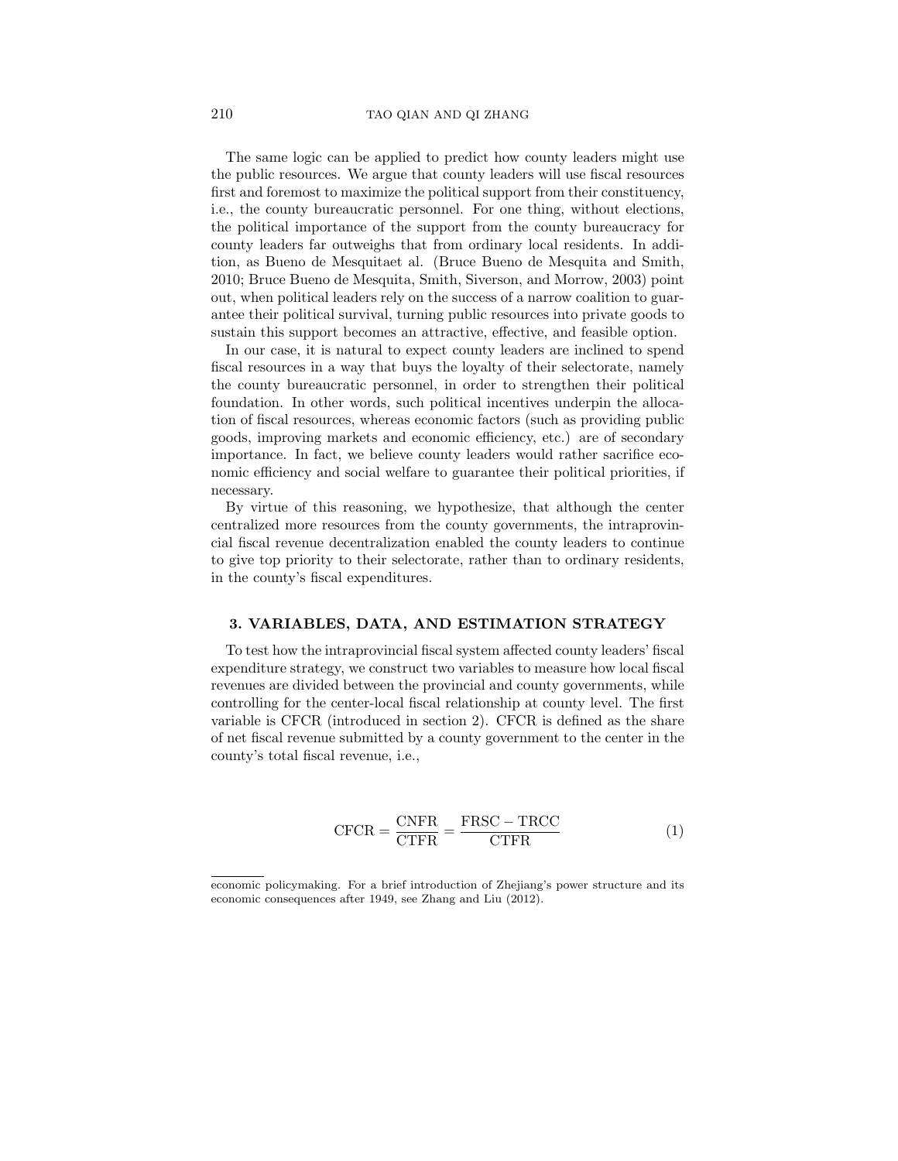The same logic can be applied to predict how county leaders might use the public resources. We argue that county leaders will use fiscal resources first and foremost to maximize the political support from their constituency, i.e., the county bureaucratic personnel. For one thing, without elections, the political importance of the support from the county bureaucracy for county leaders far outweighs that from ordinary local residents. In addition, as Bueno de Mesquitaet al. (Bruce Bueno de Mesquita and Smith, 2010; Bruce Bueno de Mesquita, Smith, Siverson, and Morrow, 2003) point out, when political leaders rely on the success of a narrow coalition to guarantee their political survival, turning public resources into private goods to sustain this support becomes an attractive, effective, and feasible option.

In our case, it is natural to expect county leaders are inclined to spend fiscal resources in a way that buys the loyalty of their selectorate, namely the county bureaucratic personnel, in order to strengthen their political foundation. In other words, such political incentives underpin the allocation of fiscal resources, whereas economic factors (such as providing public goods, improving markets and economic efficiency, etc.) are of secondary importance. In fact, we believe county leaders would rather sacrifice economic efficiency and social welfare to guarantee their political priorities, if necessary.

By virtue of this reasoning, we hypothesize, that although the center centralized more resources from the county governments, the intraprovincial fiscal revenue decentralization enabled the county leaders to continue to give top priority to their selectorate, rather than to ordinary residents, in the county's fiscal expenditures.

#### 3. VARIABLES, DATA, AND ESTIMATION STRATEGY

To test how the intraprovincial fiscal system affected county leaders' fiscal expenditure strategy, we construct two variables to measure how local fiscal revenues are divided between the provincial and county governments, while controlling for the center-local fiscal relationship at county level. The first variable is CFCR (introduced in section 2). CFCR is defined as the share of net fiscal revenue submitted by a county government to the center in the county's total fiscal revenue, i.e.,

$$
CFCR = \frac{CNFR}{CTFR} = \frac{FRSC - TRCC}{CTFR}
$$
 (1)

economic policymaking. For a brief introduction of Zhejiang's power structure and its economic consequences after 1949, see Zhang and Liu (2012).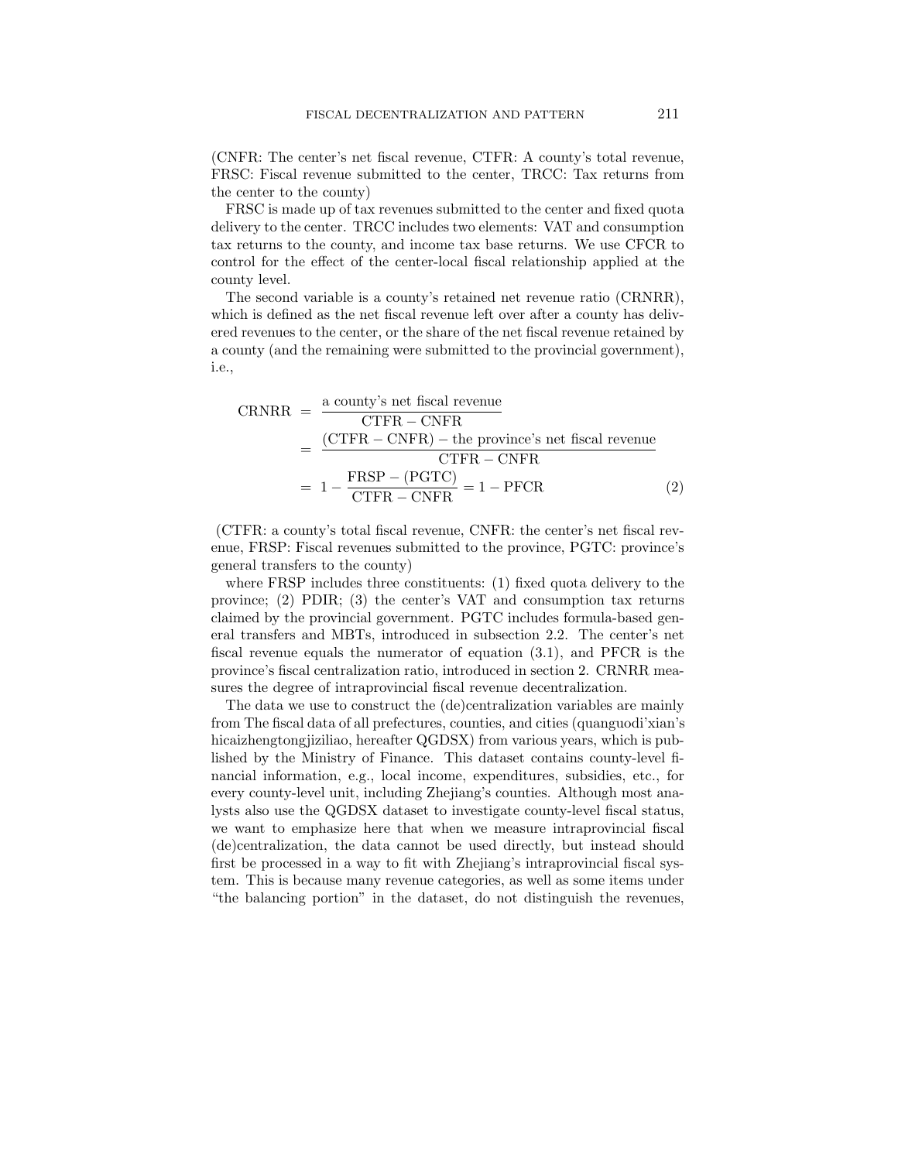(CNFR: The center's net fiscal revenue, CTFR: A county's total revenue, FRSC: Fiscal revenue submitted to the center, TRCC: Tax returns from the center to the county)

FRSC is made up of tax revenues submitted to the center and fixed quota delivery to the center. TRCC includes two elements: VAT and consumption tax returns to the county, and income tax base returns. We use CFCR to control for the effect of the center-local fiscal relationship applied at the county level.

The second variable is a county's retained net revenue ratio (CRNRR), which is defined as the net fiscal revenue left over after a county has delivered revenues to the center, or the share of the net fiscal revenue retained by a county (and the remaining were submitted to the provincial government), i.e.,

$$
CRNRR = \frac{a \text{ county's net fiscal revenue}}{\text{CTFR} - \text{CNFR}}
$$
  
= 
$$
\frac{(\text{CTFR} - \text{CNFR}) - \text{the province's net fiscal revenue}}{\text{CTFR} - \text{CNFR}}
$$
  
= 
$$
1 - \frac{\text{FRSP} - (\text{PGTC})}{\text{CTFR} - \text{CNFR}} = 1 - \text{PFCR}
$$
 (2)

(CTFR: a county's total fiscal revenue, CNFR: the center's net fiscal revenue, FRSP: Fiscal revenues submitted to the province, PGTC: province's general transfers to the county)

where FRSP includes three constituents: (1) fixed quota delivery to the province; (2) PDIR; (3) the center's VAT and consumption tax returns claimed by the provincial government. PGTC includes formula-based general transfers and MBTs, introduced in subsection 2.2. The center's net fiscal revenue equals the numerator of equation (3.1), and PFCR is the province's fiscal centralization ratio, introduced in section 2. CRNRR measures the degree of intraprovincial fiscal revenue decentralization.

The data we use to construct the (de)centralization variables are mainly from The fiscal data of all prefectures, counties, and cities (quanguodi'xian's hicaizhengtongjiziliao, hereafter QGDSX) from various years, which is published by the Ministry of Finance. This dataset contains county-level financial information, e.g., local income, expenditures, subsidies, etc., for every county-level unit, including Zhejiang's counties. Although most analysts also use the QGDSX dataset to investigate county-level fiscal status, we want to emphasize here that when we measure intraprovincial fiscal (de)centralization, the data cannot be used directly, but instead should first be processed in a way to fit with Zhejiang's intraprovincial fiscal system. This is because many revenue categories, as well as some items under "the balancing portion" in the dataset, do not distinguish the revenues,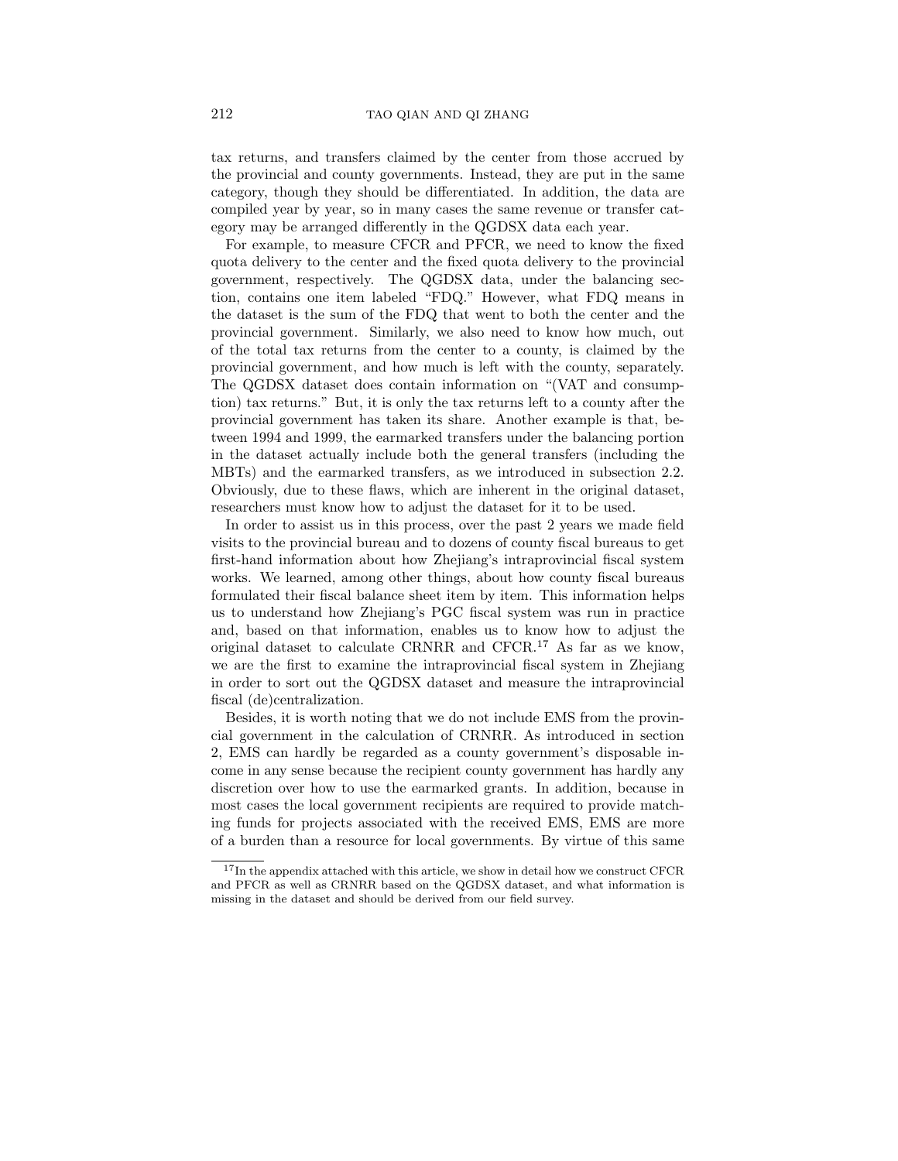tax returns, and transfers claimed by the center from those accrued by the provincial and county governments. Instead, they are put in the same category, though they should be differentiated. In addition, the data are compiled year by year, so in many cases the same revenue or transfer category may be arranged differently in the QGDSX data each year.

For example, to measure CFCR and PFCR, we need to know the fixed quota delivery to the center and the fixed quota delivery to the provincial government, respectively. The QGDSX data, under the balancing section, contains one item labeled "FDQ." However, what FDQ means in the dataset is the sum of the FDQ that went to both the center and the provincial government. Similarly, we also need to know how much, out of the total tax returns from the center to a county, is claimed by the provincial government, and how much is left with the county, separately. The QGDSX dataset does contain information on "(VAT and consumption) tax returns." But, it is only the tax returns left to a county after the provincial government has taken its share. Another example is that, between 1994 and 1999, the earmarked transfers under the balancing portion in the dataset actually include both the general transfers (including the MBTs) and the earmarked transfers, as we introduced in subsection 2.2. Obviously, due to these flaws, which are inherent in the original dataset, researchers must know how to adjust the dataset for it to be used.

In order to assist us in this process, over the past 2 years we made field visits to the provincial bureau and to dozens of county fiscal bureaus to get first-hand information about how Zhejiang's intraprovincial fiscal system works. We learned, among other things, about how county fiscal bureaus formulated their fiscal balance sheet item by item. This information helps us to understand how Zhejiang's PGC fiscal system was run in practice and, based on that information, enables us to know how to adjust the original dataset to calculate CRNRR and CFCR.<sup>17</sup> As far as we know, we are the first to examine the intraprovincial fiscal system in Zhejiang in order to sort out the QGDSX dataset and measure the intraprovincial fiscal (de)centralization.

Besides, it is worth noting that we do not include EMS from the provincial government in the calculation of CRNRR. As introduced in section 2, EMS can hardly be regarded as a county government's disposable income in any sense because the recipient county government has hardly any discretion over how to use the earmarked grants. In addition, because in most cases the local government recipients are required to provide matching funds for projects associated with the received EMS, EMS are more of a burden than a resource for local governments. By virtue of this same

<sup>&</sup>lt;sup>17</sup>In the appendix attached with this article, we show in detail how we construct CFCR and PFCR as well as CRNRR based on the QGDSX dataset, and what information is missing in the dataset and should be derived from our field survey.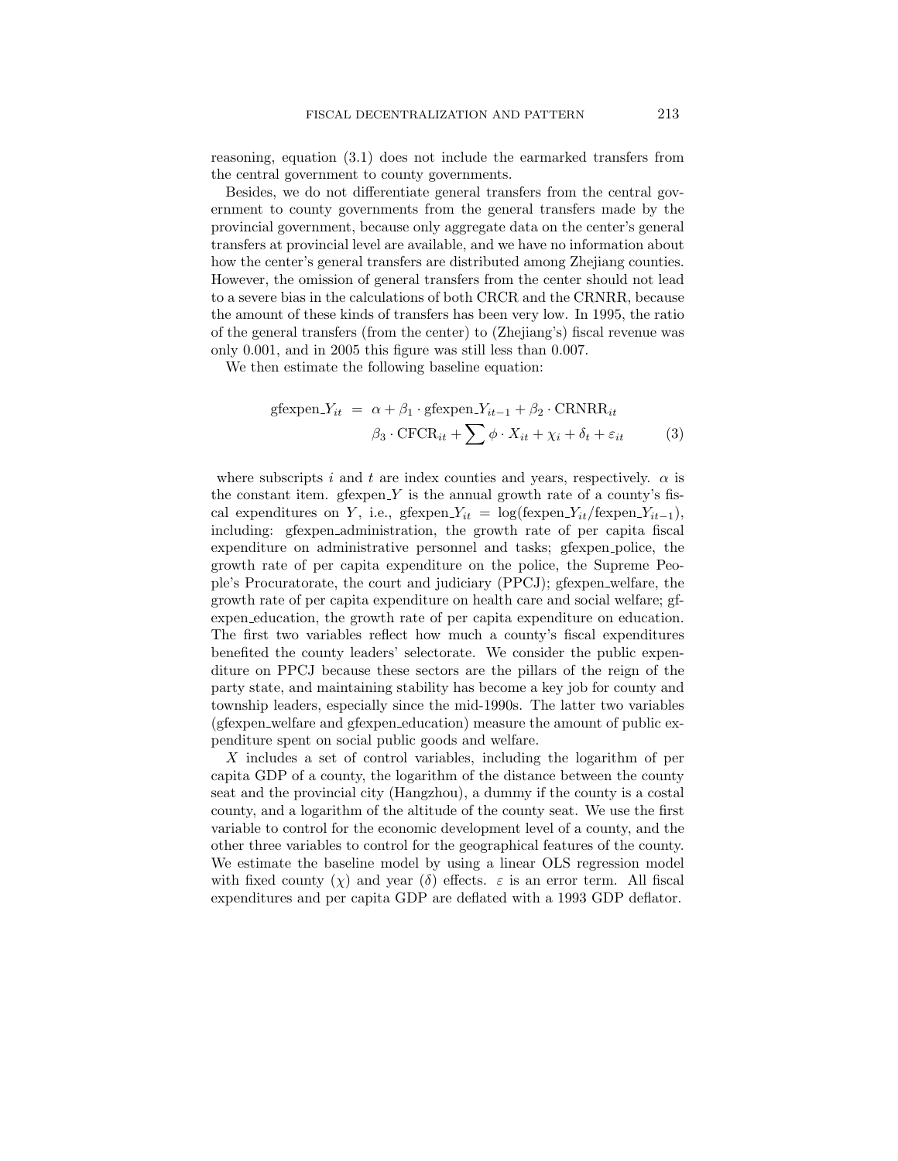reasoning, equation (3.1) does not include the earmarked transfers from the central government to county governments.

Besides, we do not differentiate general transfers from the central government to county governments from the general transfers made by the provincial government, because only aggregate data on the center's general transfers at provincial level are available, and we have no information about how the center's general transfers are distributed among Zhejiang counties. However, the omission of general transfers from the center should not lead to a severe bias in the calculations of both CRCR and the CRNRR, because the amount of these kinds of transfers has been very low. In 1995, the ratio of the general transfers (from the center) to (Zhejiang's) fiscal revenue was only 0.001, and in 2005 this figure was still less than 0.007.

We then estimate the following baseline equation:

$$
\text{gfexpen.} Y_{it} = \alpha + \beta_1 \cdot \text{gfexpen.} Y_{it-1} + \beta_2 \cdot \text{CRNRR}_{it}
$$

$$
\beta_3 \cdot \text{CFCR}_{it} + \sum \phi \cdot X_{it} + \chi_i + \delta_t + \varepsilon_{it} \tag{3}
$$

where subscripts i and t are index counties and years, respectively.  $\alpha$  is the constant item. gfexpen  $Y$  is the annual growth rate of a county's fiscal expenditures on Y, i.e., gfexpen\_ $Y_{it} = \log(\text{fexpen}_{it}/\text{fexpen}_{it-1}),$ including: gfexpen administration, the growth rate of per capita fiscal expenditure on administrative personnel and tasks; gfexpen police, the growth rate of per capita expenditure on the police, the Supreme People's Procuratorate, the court and judiciary (PPCJ); gfexpen welfare, the growth rate of per capita expenditure on health care and social welfare; gfexpen education, the growth rate of per capita expenditure on education. The first two variables reflect how much a county's fiscal expenditures benefited the county leaders' selectorate. We consider the public expenditure on PPCJ because these sectors are the pillars of the reign of the party state, and maintaining stability has become a key job for county and township leaders, especially since the mid-1990s. The latter two variables (gfexpen welfare and gfexpen education) measure the amount of public expenditure spent on social public goods and welfare.

X includes a set of control variables, including the logarithm of per capita GDP of a county, the logarithm of the distance between the county seat and the provincial city (Hangzhou), a dummy if the county is a costal county, and a logarithm of the altitude of the county seat. We use the first variable to control for the economic development level of a county, and the other three variables to control for the geographical features of the county. We estimate the baseline model by using a linear OLS regression model with fixed county (x) and year (δ) effects.  $\varepsilon$  is an error term. All fiscal expenditures and per capita GDP are deflated with a 1993 GDP deflator.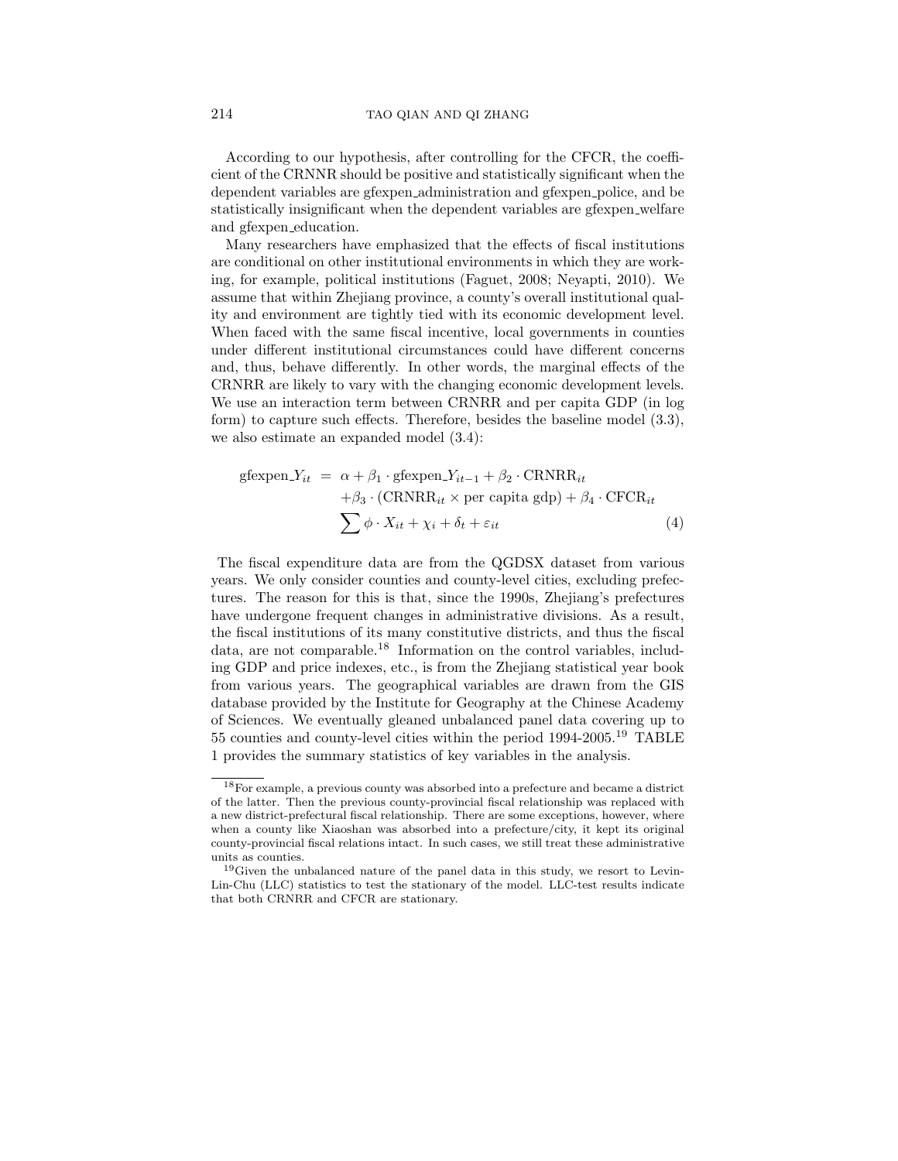According to our hypothesis, after controlling for the CFCR, the coefficient of the CRNNR should be positive and statistically significant when the dependent variables are gfexpen administration and gfexpen police, and be statistically insignificant when the dependent variables are gfexpen welfare and gfexpen education.

Many researchers have emphasized that the effects of fiscal institutions are conditional on other institutional environments in which they are working, for example, political institutions (Faguet, 2008; Neyapti, 2010). We assume that within Zhejiang province, a county's overall institutional quality and environment are tightly tied with its economic development level. When faced with the same fiscal incentive, local governments in counties under different institutional circumstances could have different concerns and, thus, behave differently. In other words, the marginal effects of the CRNRR are likely to vary with the changing economic development levels. We use an interaction term between CRNRR and per capita GDP (in log form) to capture such effects. Therefore, besides the baseline model (3.3), we also estimate an expanded model (3.4):

$$
gfexpen.Yit = α + β1 ⋅ gfexpen.Yit-1 + β2 ⋅ CRNRRit + β3 ⋅ (CRNRRit × per capita gdp) + β4 ⋅ CFCRit ∑ φ ⋅ Xit + χi + δt + εit
$$
\n(4)

The fiscal expenditure data are from the QGDSX dataset from various years. We only consider counties and county-level cities, excluding prefectures. The reason for this is that, since the 1990s, Zhejiang's prefectures have undergone frequent changes in administrative divisions. As a result, the fiscal institutions of its many constitutive districts, and thus the fiscal data, are not comparable.<sup>18</sup> Information on the control variables, including GDP and price indexes, etc., is from the Zhejiang statistical year book from various years. The geographical variables are drawn from the GIS database provided by the Institute for Geography at the Chinese Academy of Sciences. We eventually gleaned unbalanced panel data covering up to 55 counties and county-level cities within the period 1994-2005.<sup>19</sup> TABLE 1 provides the summary statistics of key variables in the analysis.

 $^{18}\rm{For}$  example, a previous county was absorbed into a prefecture and became a district of the latter. Then the previous county-provincial fiscal relationship was replaced with a new district-prefectural fiscal relationship. There are some exceptions, however, where when a county like Xiaoshan was absorbed into a prefecture/city, it kept its original county-provincial fiscal relations intact. In such cases, we still treat these administrative units as counties.

<sup>&</sup>lt;sup>19</sup>Given the unbalanced nature of the panel data in this study, we resort to Levin-Lin-Chu (LLC) statistics to test the stationary of the model. LLC-test results indicate that both CRNRR and CFCR are stationary.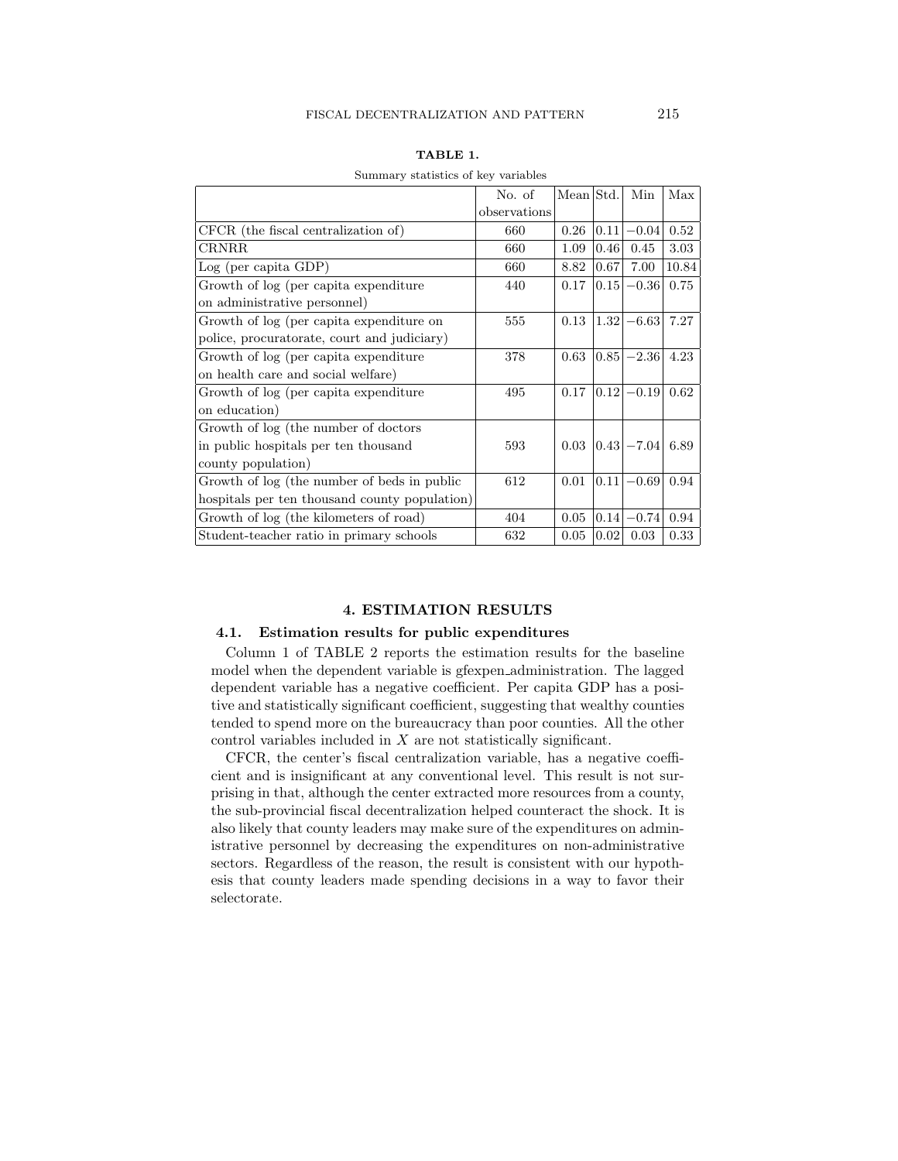|  | ۰, |
|--|----|
|  |    |

| Summary statistics of key variables           |              |           |      |               |       |  |  |
|-----------------------------------------------|--------------|-----------|------|---------------|-------|--|--|
|                                               | No. of       | Mean Std. | Min  | Max           |       |  |  |
|                                               | observations |           |      |               |       |  |  |
| CFCR (the fiscal centralization of)           | 660          | 0.26      | 0.11 | $-0.04$       | 0.52  |  |  |
| <b>CRNRR</b>                                  | 660          | 1.09      | 0.46 | 0.45          | 3.03  |  |  |
| Log (per capita GDP)                          | 660          | 8.82      | 0.67 | 7.00          | 10.84 |  |  |
| Growth of log (per capita expenditure)        | 440          | 0.17      | 0.15 | $-0.36$       | 0.75  |  |  |
| on administrative personnel)                  |              |           |      |               |       |  |  |
| Growth of log (per capita expenditure on      | 555          | 0.13      | 1.32 | $-6.63$       | 7.27  |  |  |
| police, procuratorate, court and judiciary)   |              |           |      |               |       |  |  |
| Growth of log (per capita expenditure)        | 378          | 0.63      | 0.85 | $-2.36$       | 4.23  |  |  |
| on health care and social welfare)            |              |           |      |               |       |  |  |
| Growth of log (per capita expenditure)        | 495          | 0.17      | 0.12 | $-0.19$       | 0.62  |  |  |
| on education)                                 |              |           |      |               |       |  |  |
| Growth of log (the number of doctors          |              |           |      |               |       |  |  |
| in public hospitals per ten thousand          | 593          | 0.03      |      | $0.43 - 7.04$ | 6.89  |  |  |
| county population)                            |              |           |      |               |       |  |  |
| Growth of log (the number of beds in public   | 612          | 0.01      | 0.11 | $-0.69$       | 0.94  |  |  |
| hospitals per ten thousand county population) |              |           |      |               |       |  |  |
| Growth of log (the kilometers of road)        | 404          | 0.05      | 0.14 | $-0.74$       | 0.94  |  |  |
| Student-teacher ratio in primary schools      | 632          | 0.05      | 0.02 | 0.03          | 0.33  |  |  |

#### TABLE 1.

# stictics of key variable

#### 4. ESTIMATION RESULTS

#### 4.1. Estimation results for public expenditures

Column 1 of TABLE 2 reports the estimation results for the baseline model when the dependent variable is gfexpen administration. The lagged dependent variable has a negative coefficient. Per capita GDP has a positive and statistically significant coefficient, suggesting that wealthy counties tended to spend more on the bureaucracy than poor counties. All the other control variables included in X are not statistically significant.

CFCR, the center's fiscal centralization variable, has a negative coefficient and is insignificant at any conventional level. This result is not surprising in that, although the center extracted more resources from a county, the sub-provincial fiscal decentralization helped counteract the shock. It is also likely that county leaders may make sure of the expenditures on administrative personnel by decreasing the expenditures on non-administrative sectors. Regardless of the reason, the result is consistent with our hypothesis that county leaders made spending decisions in a way to favor their selectorate.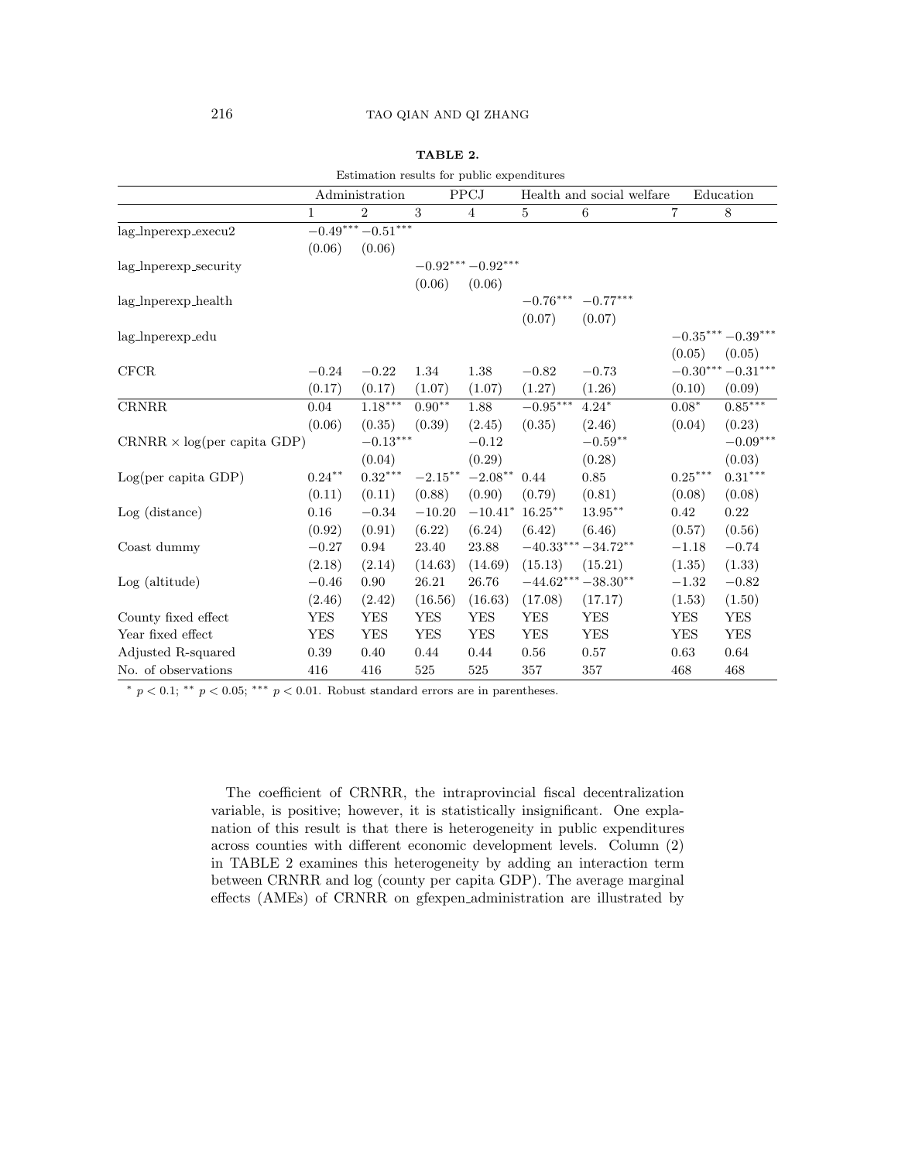| Estimation results for public expenditures |             |                        |                |                    |                       |                           |                |                              |
|--------------------------------------------|-------------|------------------------|----------------|--------------------|-----------------------|---------------------------|----------------|------------------------------|
|                                            |             | Administration         |                | PPCJ               |                       | Health and social welfare |                | Education                    |
|                                            | $\mathbf 1$ | $\overline{2}$         | $\overline{3}$ | $\overline{4}$     | $\overline{5}$        | $\,6\,$                   | $\overline{7}$ | $8\,$                        |
| $lag_{\perp}$ Inperexp_execu2              |             | $-0.49***-0.51***$     |                |                    |                       |                           |                |                              |
|                                            | (0.06)      | (0.06)                 |                |                    |                       |                           |                |                              |
| lag_lnperexp_security                      |             |                        |                | $-0.92***-0.92***$ |                       |                           |                |                              |
|                                            |             |                        | (0.06)         | (0.06)             |                       |                           |                |                              |
| lag_Inperexp_health                        |             |                        |                |                    | $-0.76***$ $-0.77***$ |                           |                |                              |
|                                            |             |                        |                |                    | (0.07)                | (0.07)                    |                |                              |
| lag_lnperexp_edu                           |             |                        |                |                    |                       |                           |                | $-0.35***-0.39***$           |
|                                            |             |                        |                |                    |                       |                           | (0.05)         | (0.05)                       |
| CFCR                                       | $-0.24$     | $-0.22$                | 1.34           | $1.38\,$           | $-0.82$               | $-0.73$                   |                | $-0.30^{***}\!-\!0.31^{***}$ |
|                                            | (0.17)      | (0.17)                 | (1.07)         | (1.07)             | (1.27)                | (1.26)                    | (0.10)         | (0.09)                       |
| <b>CRNRR</b>                               | 0.04        | $1.18***$              | $0.90**$       | 1.88               | $-0.95***$            | $4.24*$                   | $0.08*$        | $0.85***$                    |
|                                            | (0.06)      | (0.35)                 | (0.39)         | (2.45)             | (0.35)                | (2.46)                    | (0.04)         | (0.23)                       |
| $CRNRR \times log(per capita GDP)$         |             | $-0.13^{\ast\ast\ast}$ |                | $-0.12$            |                       | $-0.59^{\ast\ast}$        |                | $-0.09***$                   |
|                                            |             | (0.04)                 |                | (0.29)             |                       | (0.28)                    |                | (0.03)                       |
| Log(per capita GDP)                        | $0.24***$   | $0.32^{\ast\ast\ast}$  | $-2.15***$     | $-2.08**$          | 0.44                  | 0.85                      | $0.25***$      | $0.31***$                    |
|                                            | (0.11)      | (0.11)                 | (0.88)         | (0.90)             | (0.79)                | (0.81)                    | (0.08)         | (0.08)                       |
| $Log$ (distance)                           | 0.16        | $-0.34$                | $-10.20$       | $-10.41*$          | $16.25***$            | $13.95^{\ast\ast}$        | 0.42           | 0.22                         |
|                                            | (0.92)      | (0.91)                 | (6.22)         | (6.24)             | (6.42)                | (6.46)                    | (0.57)         | (0.56)                       |
| Coast dummy                                | $-0.27$     | 0.94                   | 23.40          | 23.88              | $-40.33***$           | $-34.72**$                | $-1.18$        | $-0.74$                      |
|                                            | (2.18)      | (2.14)                 | (14.63)        | (14.69)            | (15.13)               | (15.21)                   | (1.35)         | (1.33)                       |
| Log (altitude)                             | $-0.46$     | 0.90                   | 26.21          | 26.76              | $-44.62***-38.30**$   |                           | $-1.32$        | $-0.82$                      |
|                                            | (2.46)      | (2.42)                 | (16.56)        | (16.63)            | (17.08)               | (17.17)                   | (1.53)         | (1.50)                       |
| County fixed effect                        | YES         | <b>YES</b>             | <b>YES</b>     | <b>YES</b>         | <b>YES</b>            | <b>YES</b>                | <b>YES</b>     | YES                          |
| Year fixed effect                          | YES         | YES                    | YES            | YES                | <b>YES</b>            | <b>YES</b>                | <b>YES</b>     | <b>YES</b>                   |
| Adjusted R-squared                         | 0.39        | 0.40                   | 0.44           | 0.44               | $0.56\,$              | 0.57                      | 0.63           | 0.64                         |
| No. of observations                        | 416         | 416                    | 525            | 525                | 357                   | 357                       | 468            | 468                          |

| A BLE |  |
|-------|--|
|-------|--|

 $^*$   $p$   $<$  0.1;  $^{\ast\ast}$   $p$   $<$  0.05;  $^{\ast\ast\ast}$   $p$   $<$  0.01. Robust standard errors are in parentheses.

The coefficient of CRNRR, the intraprovincial fiscal decentralization variable, is positive; however, it is statistically insignificant. One explanation of this result is that there is heterogeneity in public expenditures across counties with different economic development levels. Column (2) in TABLE 2 examines this heterogeneity by adding an interaction term between CRNRR and log (county per capita GDP). The average marginal effects (AMEs) of CRNRR on gfexpen administration are illustrated by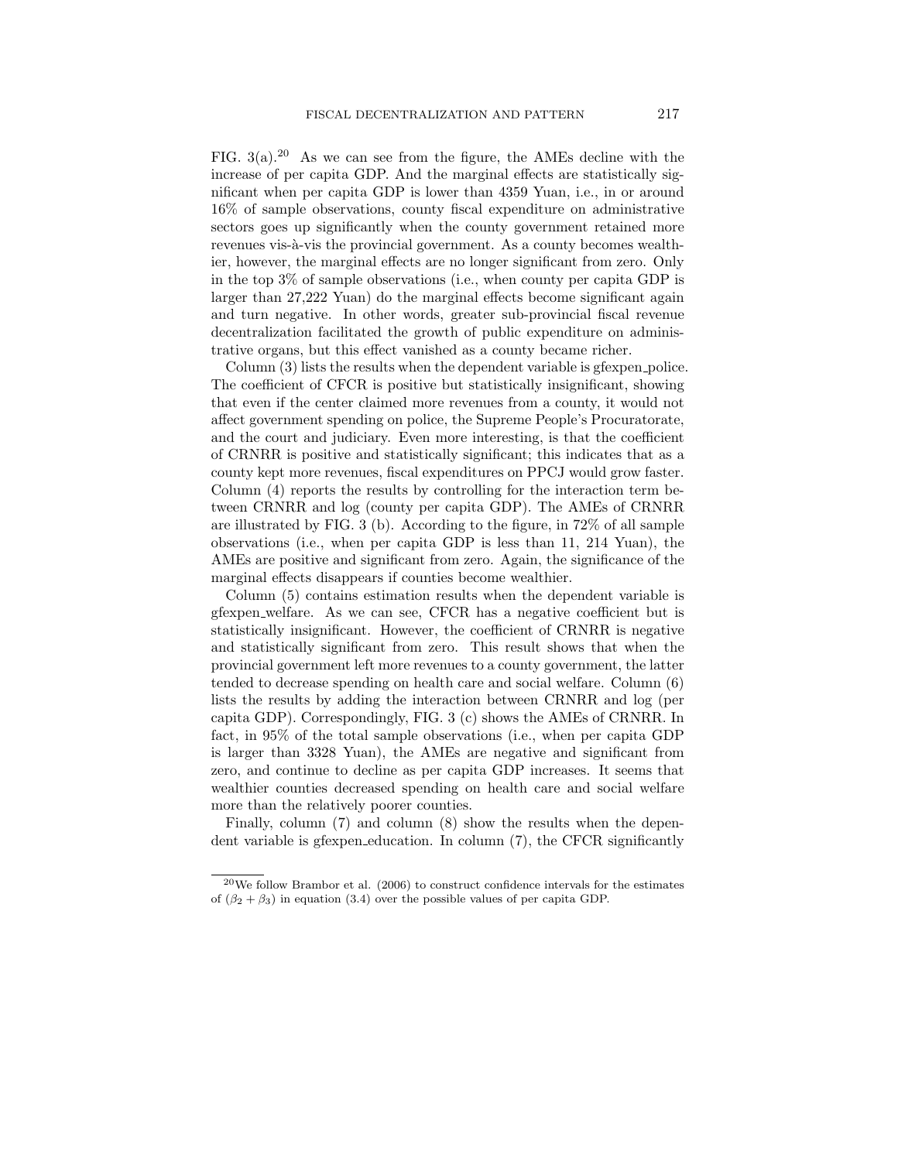FIG.  $3(a)$ <sup>20</sup> As we can see from the figure, the AMEs decline with the increase of per capita GDP. And the marginal effects are statistically significant when per capita GDP is lower than 4359 Yuan, i.e., in or around 16% of sample observations, county fiscal expenditure on administrative sectors goes up significantly when the county government retained more revenues vis-à-vis the provincial government. As a county becomes wealthier, however, the marginal effects are no longer significant from zero. Only in the top 3% of sample observations (i.e., when county per capita GDP is larger than 27,222 Yuan) do the marginal effects become significant again and turn negative. In other words, greater sub-provincial fiscal revenue decentralization facilitated the growth of public expenditure on administrative organs, but this effect vanished as a county became richer.

Column (3) lists the results when the dependent variable is gfexpen-police. The coefficient of CFCR is positive but statistically insignificant, showing that even if the center claimed more revenues from a county, it would not affect government spending on police, the Supreme People's Procuratorate, and the court and judiciary. Even more interesting, is that the coefficient of CRNRR is positive and statistically significant; this indicates that as a county kept more revenues, fiscal expenditures on PPCJ would grow faster. Column (4) reports the results by controlling for the interaction term between CRNRR and log (county per capita GDP). The AMEs of CRNRR are illustrated by FIG. 3 (b). According to the figure, in 72% of all sample observations (i.e., when per capita GDP is less than 11, 214 Yuan), the AMEs are positive and significant from zero. Again, the significance of the marginal effects disappears if counties become wealthier.

Column (5) contains estimation results when the dependent variable is gfexpen welfare. As we can see, CFCR has a negative coefficient but is statistically insignificant. However, the coefficient of CRNRR is negative and statistically significant from zero. This result shows that when the provincial government left more revenues to a county government, the latter tended to decrease spending on health care and social welfare. Column (6) lists the results by adding the interaction between CRNRR and log (per capita GDP). Correspondingly, FIG. 3 (c) shows the AMEs of CRNRR. In fact, in 95% of the total sample observations (i.e., when per capita GDP is larger than 3328 Yuan), the AMEs are negative and significant from zero, and continue to decline as per capita GDP increases. It seems that wealthier counties decreased spending on health care and social welfare more than the relatively poorer counties.

Finally, column (7) and column (8) show the results when the dependent variable is gfexpen education. In column (7), the CFCR significantly

 $20$ We follow Brambor et al. (2006) to construct confidence intervals for the estimates of  $(\beta_2 + \beta_3)$  in equation (3.4) over the possible values of per capita GDP.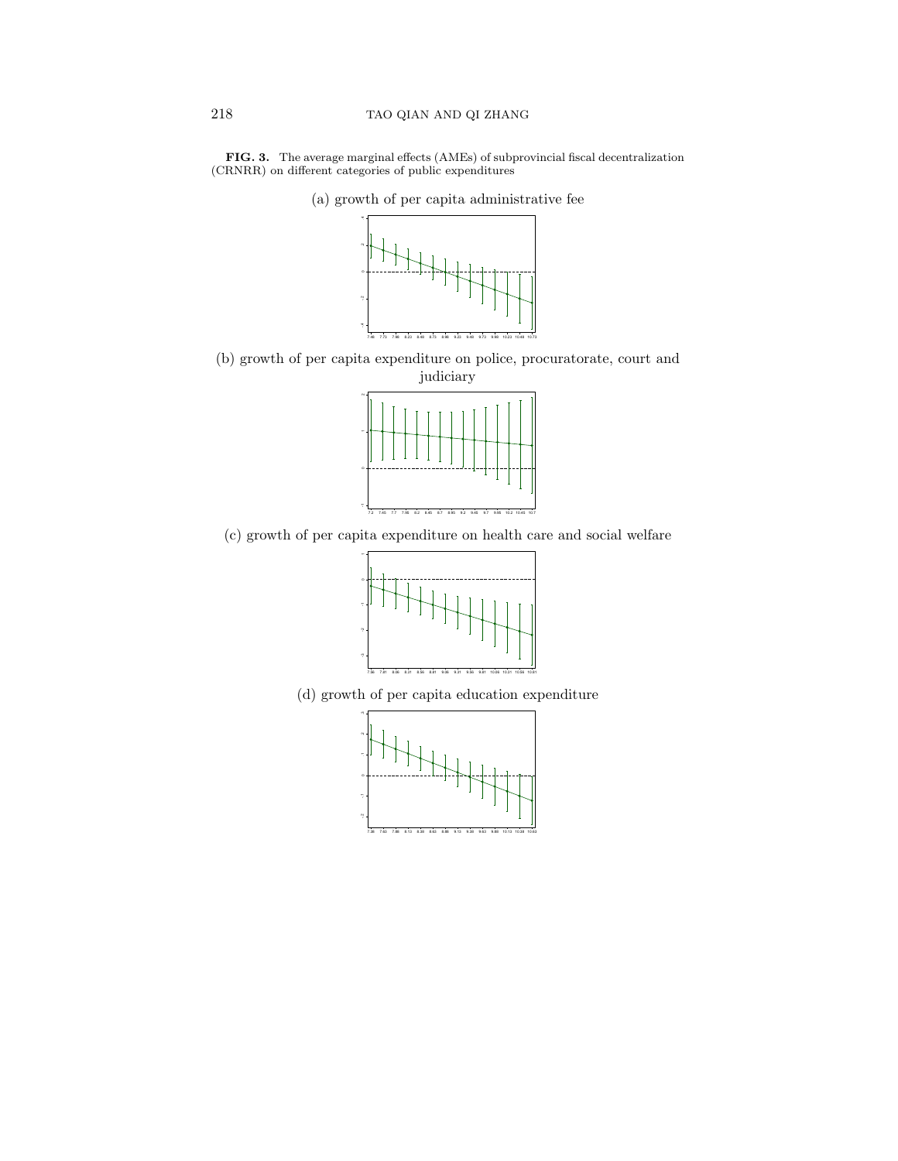



(a) growth of per capita administrative fee

(b) growth of per capita expenditure on police, procuratorate, court and judiciary



(c) growth of per capita expenditure on health care and social welfare



(d) growth of per capita education expenditure

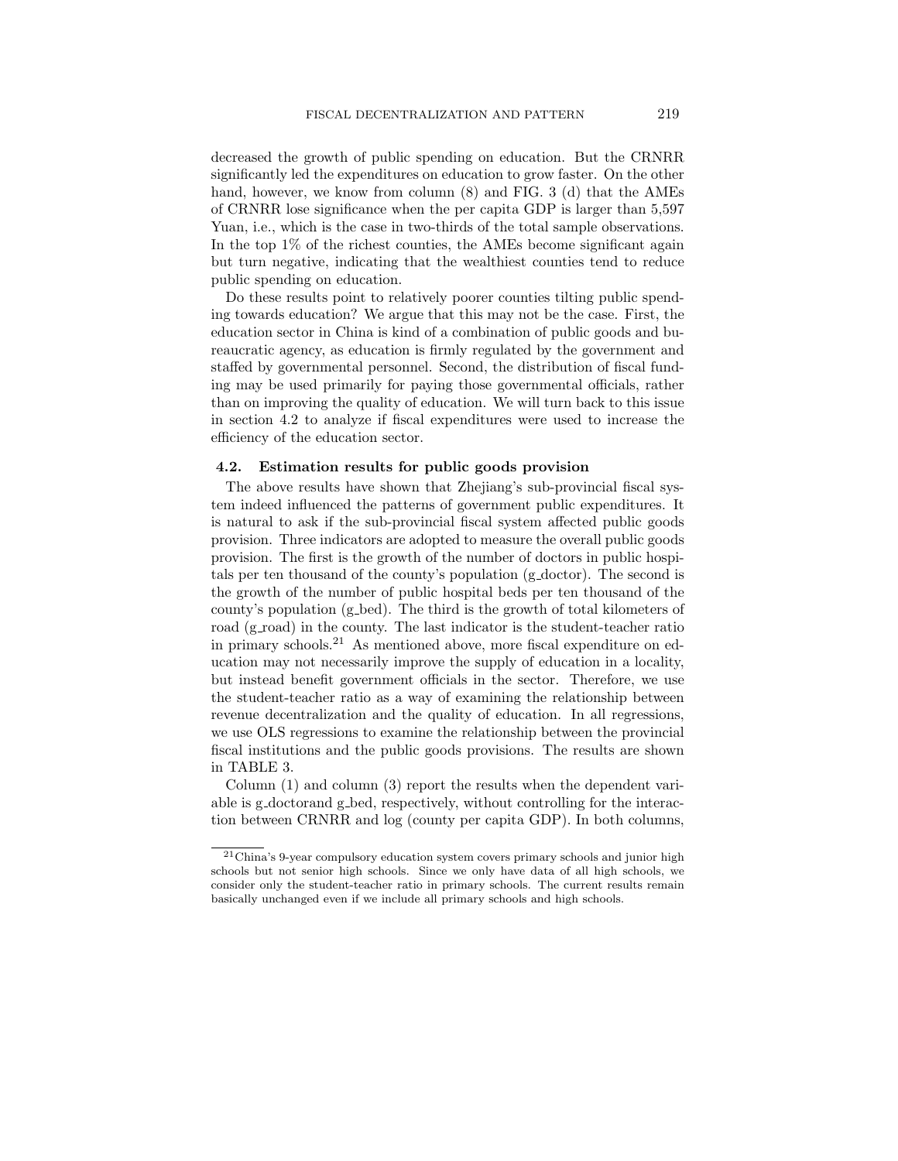decreased the growth of public spending on education. But the CRNRR significantly led the expenditures on education to grow faster. On the other hand, however, we know from column (8) and FIG. 3 (d) that the AMEs of CRNRR lose significance when the per capita GDP is larger than 5,597 Yuan, i.e., which is the case in two-thirds of the total sample observations. In the top 1% of the richest counties, the AMEs become significant again but turn negative, indicating that the wealthiest counties tend to reduce public spending on education.

Do these results point to relatively poorer counties tilting public spending towards education? We argue that this may not be the case. First, the education sector in China is kind of a combination of public goods and bureaucratic agency, as education is firmly regulated by the government and staffed by governmental personnel. Second, the distribution of fiscal funding may be used primarily for paying those governmental officials, rather than on improving the quality of education. We will turn back to this issue in section 4.2 to analyze if fiscal expenditures were used to increase the efficiency of the education sector.

### 4.2. Estimation results for public goods provision

The above results have shown that Zhejiang's sub-provincial fiscal system indeed influenced the patterns of government public expenditures. It is natural to ask if the sub-provincial fiscal system affected public goods provision. Three indicators are adopted to measure the overall public goods provision. The first is the growth of the number of doctors in public hospitals per ten thousand of the county's population (g doctor). The second is the growth of the number of public hospital beds per ten thousand of the county's population (g\_bed). The third is the growth of total kilometers of road (g\_road) in the county. The last indicator is the student-teacher ratio in primary schools.<sup>21</sup> As mentioned above, more fiscal expenditure on education may not necessarily improve the supply of education in a locality, but instead benefit government officials in the sector. Therefore, we use the student-teacher ratio as a way of examining the relationship between revenue decentralization and the quality of education. In all regressions, we use OLS regressions to examine the relationship between the provincial fiscal institutions and the public goods provisions. The results are shown in TABLE 3.

Column (1) and column (3) report the results when the dependent variable is g-doctorand g-bed, respectively, without controlling for the interaction between CRNRR and log (county per capita GDP). In both columns,

<sup>21</sup>China's 9-year compulsory education system covers primary schools and junior high schools but not senior high schools. Since we only have data of all high schools, we consider only the student-teacher ratio in primary schools. The current results remain basically unchanged even if we include all primary schools and high schools.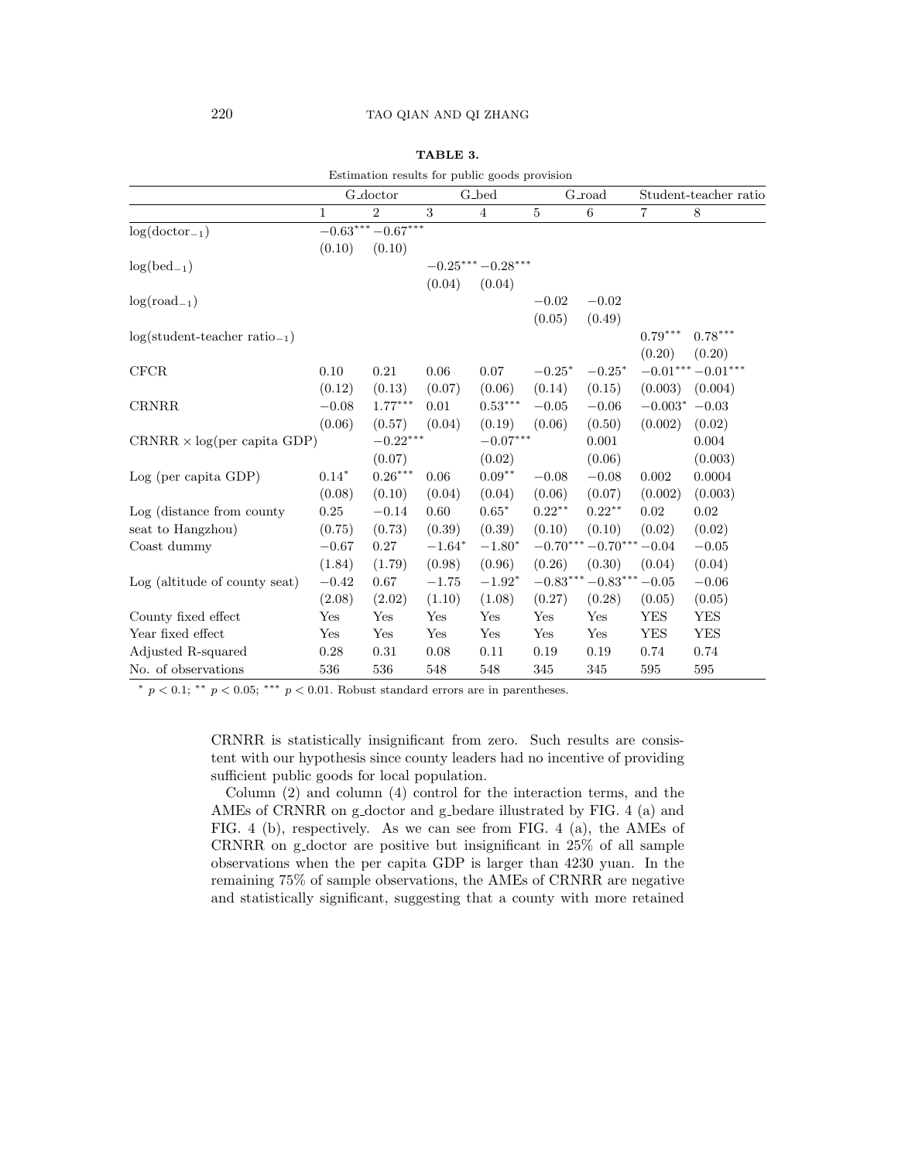|                                       |                      | Estimation results for public goods provision |          |                        |           |                         |                       |                    |
|---------------------------------------|----------------------|-----------------------------------------------|----------|------------------------|-----------|-------------------------|-----------------------|--------------------|
|                                       | G <sub>-doctor</sub> |                                               | G_bed    |                        | G_road    |                         | Student-teacher ratio |                    |
|                                       | $\mathbf{1}$         | $\overline{2}$                                | 3        | $\overline{4}$         | $\bf 5$   | $\,6$                   | $\overline{7}$        | $\,8\,$            |
| $log(dotor_{-1})$                     |                      | $-0.63***-0.67***$                            |          |                        |           |                         |                       |                    |
|                                       | (0.10)               | (0.10)                                        |          |                        |           |                         |                       |                    |
| $log(bed_{-1})$                       |                      |                                               |          | $-0.25***-0.28***$     |           |                         |                       |                    |
|                                       |                      |                                               | (0.04)   | (0.04)                 |           |                         |                       |                    |
| $log(road_{-1})$                      |                      |                                               |          |                        | $-0.02$   | $-0.02$                 |                       |                    |
|                                       |                      |                                               |          |                        | (0.05)    | (0.49)                  |                       |                    |
| $log(stat\text{-}teacher ratio_{-1})$ |                      |                                               |          |                        |           |                         | $0.79***$             | $0.78***$          |
|                                       |                      |                                               |          |                        |           |                         | (0.20)                | (0.20)             |
| <b>CFCR</b>                           | 0.10                 | 0.21                                          | 0.06     | 0.07                   | $-0.25*$  | $-0.25*$                |                       | $-0.01***-0.01***$ |
|                                       | (0.12)               | (0.13)                                        | (0.07)   | (0.06)                 | (0.14)    | (0.15)                  | (0.003)               | (0.004)            |
| <b>CRNRR</b>                          | $-0.08$              | $1.77***$                                     | 0.01     | $0.53***$              | $-0.05$   | $-0.06$                 | $-0.003^*$ $-0.03$    |                    |
|                                       | (0.06)               | (0.57)                                        | (0.04)   | (0.19)                 | (0.06)    | (0.50)                  | (0.002)               | (0.02)             |
| $CRNRR \times log(per capita GDP)$    |                      | $-0.22***$                                    |          | $-0.07^{\ast\ast\ast}$ |           | 0.001                   |                       | 0.004              |
|                                       |                      | (0.07)                                        |          | (0.02)                 |           | (0.06)                  |                       | (0.003)            |
| Log (per capita GDP)                  | $0.14*$              | $0.26^{\ast\ast\ast}$                         | 0.06     | $0.09**$               | $-0.08$   | $-0.08$                 | 0.002                 | 0.0004             |
|                                       | (0.08)               | (0.10)                                        | (0.04)   | (0.04)                 | (0.06)    | (0.07)                  | (0.002)               | (0.003)            |
| Log (distance from county             | 0.25                 | $-0.14$                                       | 0.60     | $0.65*$                | $0.22***$ | $0.22***$               | 0.02                  | 0.02               |
| seat to Hangzhou)                     | (0.75)               | (0.73)                                        | (0.39)   | (0.39)                 | (0.10)    | (0.10)                  | (0.02)                | (0.02)             |
| Coast dummy                           | $-0.67$              | 0.27                                          | $-1.64*$ | $-1.80*$               |           | $-0.70***-0.70***-0.04$ |                       | $-0.05$            |
|                                       | (1.84)               | (1.79)                                        | (0.98)   | (0.96)                 | (0.26)    | (0.30)                  | (0.04)                | (0.04)             |
| Log (altitude of county seat)         | $-0.42$              | 0.67                                          | $-1.75$  | $-1.92*$               |           | $-0.83***-0.83***-0.05$ |                       | $-0.06$            |
|                                       | (2.08)               | (2.02)                                        | (1.10)   | (1.08)                 | (0.27)    | (0.28)                  | (0.05)                | (0.05)             |
| County fixed effect                   | Yes                  | Yes                                           | Yes      | Yes                    | Yes       | Yes                     | <b>YES</b>            | YES                |
| Year fixed effect                     | Yes                  | Yes                                           | Yes      | Yes                    | Yes       | Yes                     | <b>YES</b>            | <b>YES</b>         |
| Adjusted R-squared                    | 0.28                 | 0.31                                          | 0.08     | 0.11                   | 0.19      | 0.19                    | 0.74                  | 0.74               |
| No. of observations                   | 536                  | 536                                           | 548      | 548                    | 345       | 345                     | 595                   | 595                |

TABLE 3.

<sup>\*</sup>  $p < 0.1$ ; \*\*  $p < 0.05$ ; \*\*\*  $p < 0.01$ . Robust standard errors are in parentheses.

CRNRR is statistically insignificant from zero. Such results are consistent with our hypothesis since county leaders had no incentive of providing sufficient public goods for local population.

Column (2) and column (4) control for the interaction terms, and the AMEs of CRNRR on g-doctor and g-bedare illustrated by FIG. 4 (a) and FIG. 4 (b), respectively. As we can see from FIG. 4 (a), the AMEs of CRNRR on g-doctor are positive but insignificant in 25% of all sample observations when the per capita GDP is larger than 4230 yuan. In the remaining 75% of sample observations, the AMEs of CRNRR are negative and statistically significant, suggesting that a county with more retained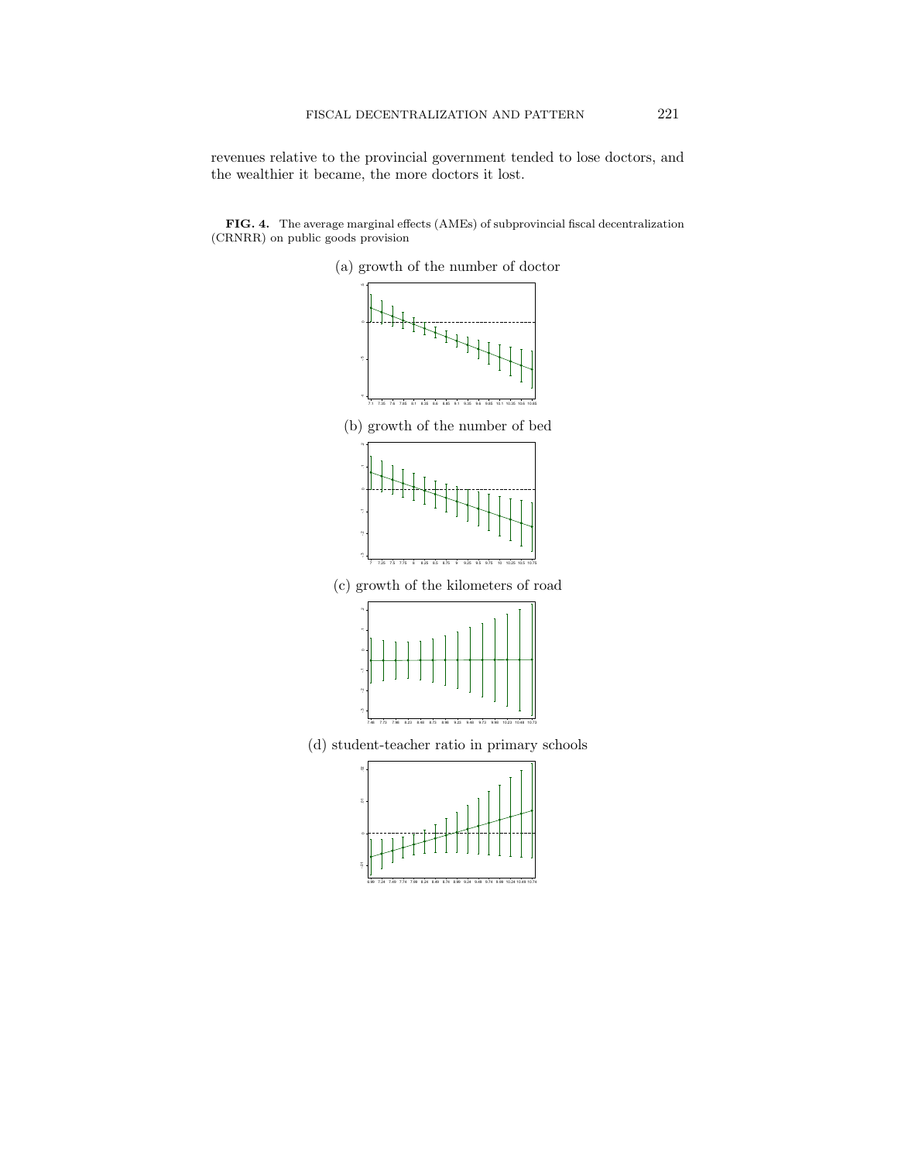revenues relative to the provincial government tended to lose doctors, and the wealthier it became, the more doctors it lost.

FIG. 4. The average marginal effects (AMEs) of subprovincial fiscal decentralization (CRNRR) on public goods provision



6.99 7.24 7.49 7.74 7.99 8.24 8.49 8.74 8.99 9.24 9.49 9.74 9.99 10.24 10.49 10.74

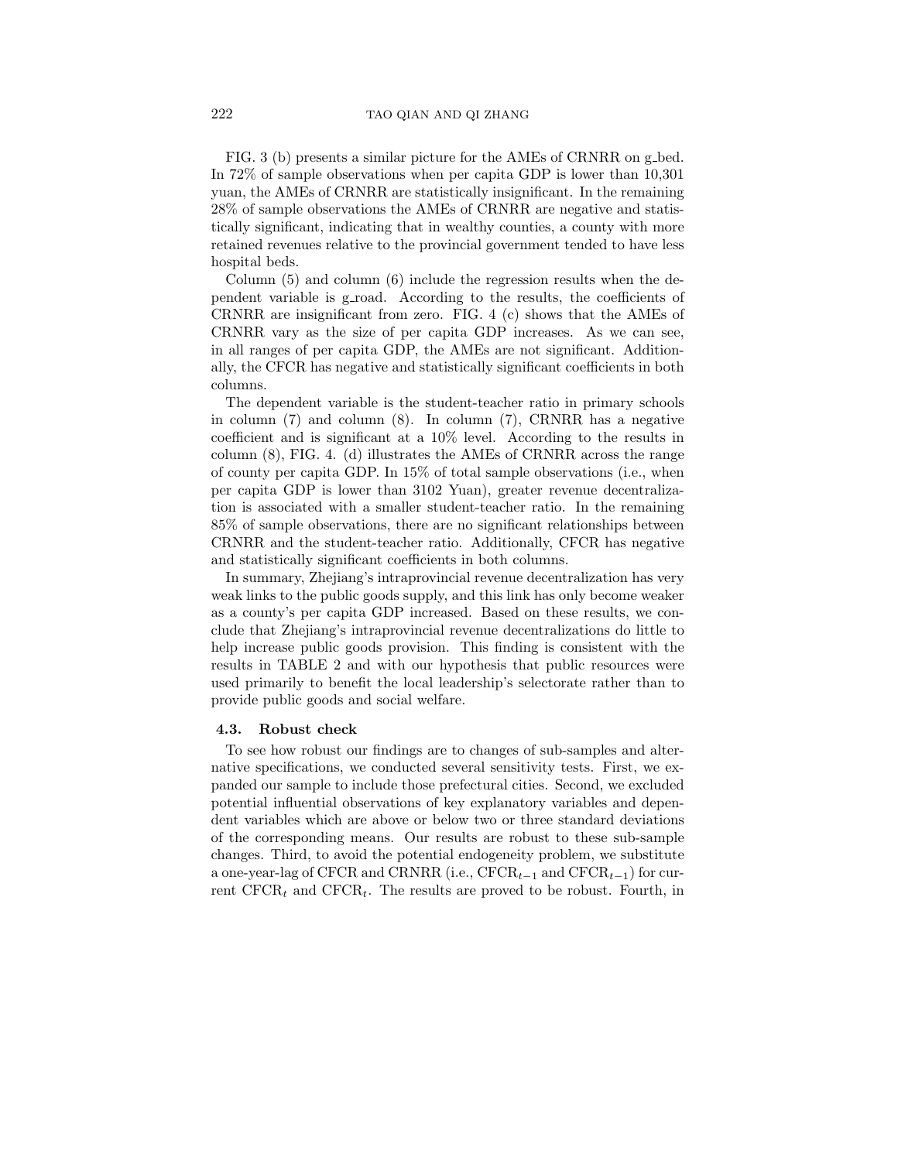FIG. 3 (b) presents a similar picture for the AMEs of CRNRR on g bed. In 72% of sample observations when per capita GDP is lower than 10,301 yuan, the AMEs of CRNRR are statistically insignificant. In the remaining 28% of sample observations the AMEs of CRNRR are negative and statistically significant, indicating that in wealthy counties, a county with more retained revenues relative to the provincial government tended to have less hospital beds.

Column (5) and column (6) include the regression results when the dependent variable is g road. According to the results, the coefficients of CRNRR are insignificant from zero. FIG. 4 (c) shows that the AMEs of CRNRR vary as the size of per capita GDP increases. As we can see, in all ranges of per capita GDP, the AMEs are not significant. Additionally, the CFCR has negative and statistically significant coefficients in both columns.

The dependent variable is the student-teacher ratio in primary schools in column (7) and column (8). In column (7), CRNRR has a negative coefficient and is significant at a 10% level. According to the results in column (8), FIG. 4. (d) illustrates the AMEs of CRNRR across the range of county per capita GDP. In 15% of total sample observations (i.e., when per capita GDP is lower than 3102 Yuan), greater revenue decentralization is associated with a smaller student-teacher ratio. In the remaining 85% of sample observations, there are no significant relationships between CRNRR and the student-teacher ratio. Additionally, CFCR has negative and statistically significant coefficients in both columns.

In summary, Zhejiang's intraprovincial revenue decentralization has very weak links to the public goods supply, and this link has only become weaker as a county's per capita GDP increased. Based on these results, we conclude that Zhejiang's intraprovincial revenue decentralizations do little to help increase public goods provision. This finding is consistent with the results in TABLE 2 and with our hypothesis that public resources were used primarily to benefit the local leadership's selectorate rather than to provide public goods and social welfare.

#### 4.3. Robust check

To see how robust our findings are to changes of sub-samples and alternative specifications, we conducted several sensitivity tests. First, we expanded our sample to include those prefectural cities. Second, we excluded potential influential observations of key explanatory variables and dependent variables which are above or below two or three standard deviations of the corresponding means. Our results are robust to these sub-sample changes. Third, to avoid the potential endogeneity problem, we substitute a one-year-lag of CFCR and CRNRR (i.e.,  $CFCR_{t-1}$  and  $CFCR_{t-1}$ ) for current  $CFCR_t$  and  $CFCR_t$ . The results are proved to be robust. Fourth, in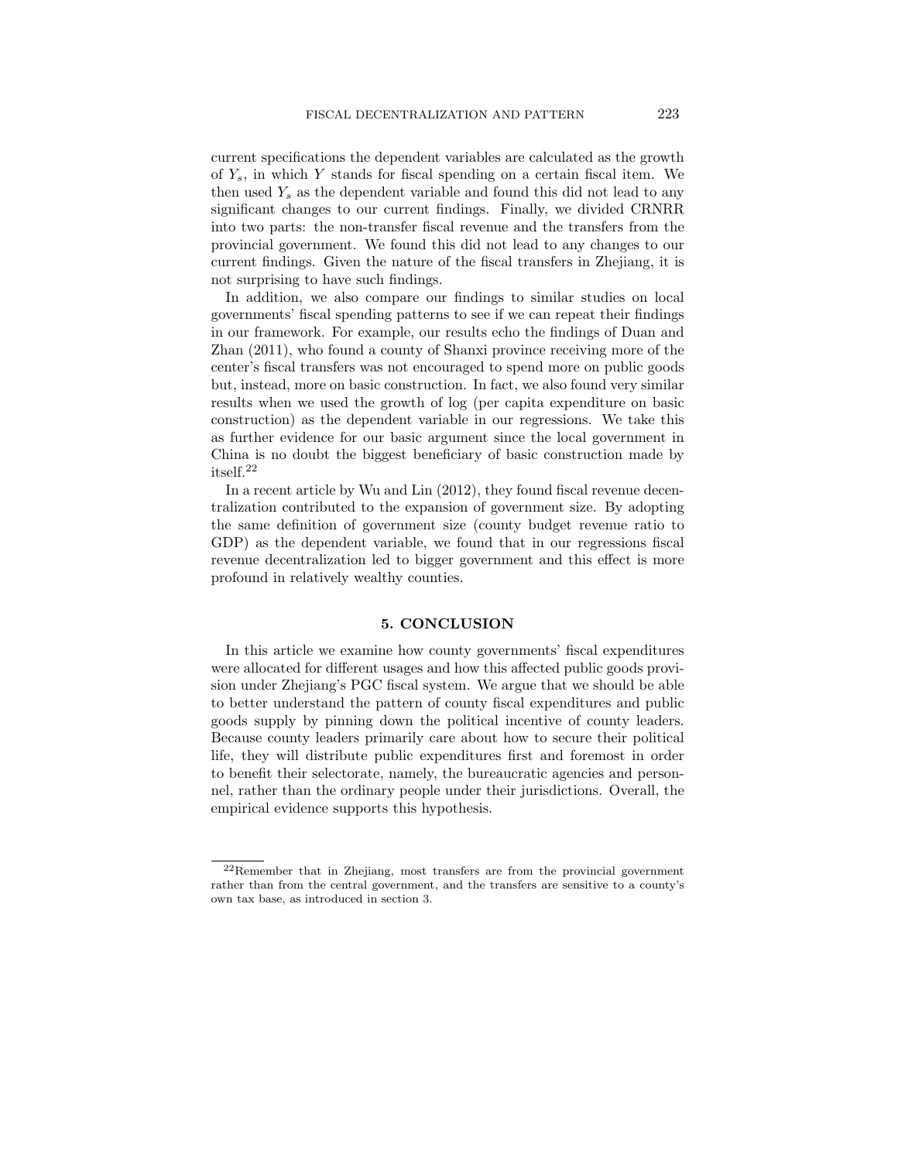current specifications the dependent variables are calculated as the growth of  $Y_s$ , in which Y stands for fiscal spending on a certain fiscal item. We then used  $Y_s$  as the dependent variable and found this did not lead to any significant changes to our current findings. Finally, we divided CRNRR into two parts: the non-transfer fiscal revenue and the transfers from the provincial government. We found this did not lead to any changes to our current findings. Given the nature of the fiscal transfers in Zhejiang, it is not surprising to have such findings.

In addition, we also compare our findings to similar studies on local governments' fiscal spending patterns to see if we can repeat their findings in our framework. For example, our results echo the findings of Duan and Zhan (2011), who found a county of Shanxi province receiving more of the center's fiscal transfers was not encouraged to spend more on public goods but, instead, more on basic construction. In fact, we also found very similar results when we used the growth of log (per capita expenditure on basic construction) as the dependent variable in our regressions. We take this as further evidence for our basic argument since the local government in China is no doubt the biggest beneficiary of basic construction made by itself.<sup>22</sup>

In a recent article by Wu and Lin (2012), they found fiscal revenue decentralization contributed to the expansion of government size. By adopting the same definition of government size (county budget revenue ratio to GDP) as the dependent variable, we found that in our regressions fiscal revenue decentralization led to bigger government and this effect is more profound in relatively wealthy counties.

#### 5. CONCLUSION

In this article we examine how county governments' fiscal expenditures were allocated for different usages and how this affected public goods provision under Zhejiang's PGC fiscal system. We argue that we should be able to better understand the pattern of county fiscal expenditures and public goods supply by pinning down the political incentive of county leaders. Because county leaders primarily care about how to secure their political life, they will distribute public expenditures first and foremost in order to benefit their selectorate, namely, the bureaucratic agencies and personnel, rather than the ordinary people under their jurisdictions. Overall, the empirical evidence supports this hypothesis.

<sup>22</sup>Remember that in Zhejiang, most transfers are from the provincial government rather than from the central government, and the transfers are sensitive to a county's own tax base, as introduced in section 3.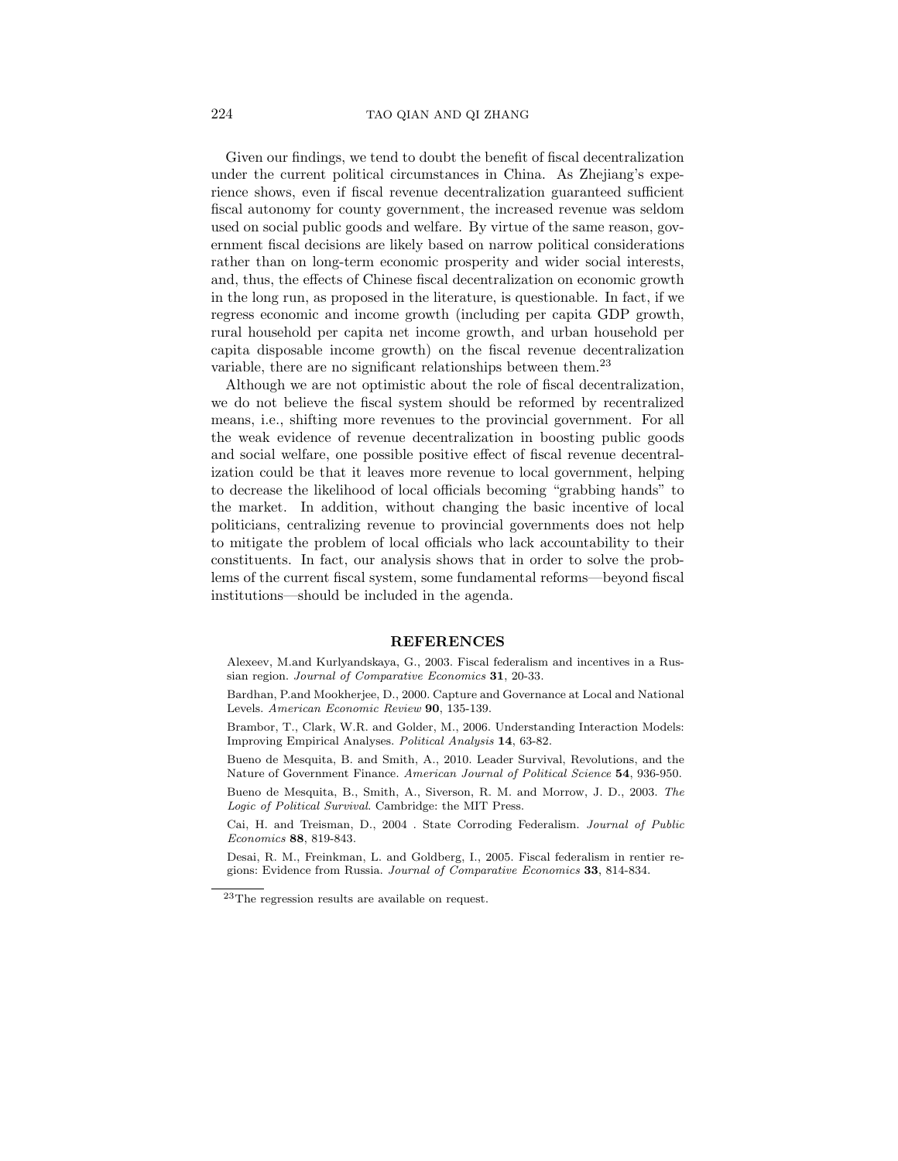Given our findings, we tend to doubt the benefit of fiscal decentralization under the current political circumstances in China. As Zhejiang's experience shows, even if fiscal revenue decentralization guaranteed sufficient fiscal autonomy for county government, the increased revenue was seldom used on social public goods and welfare. By virtue of the same reason, government fiscal decisions are likely based on narrow political considerations rather than on long-term economic prosperity and wider social interests, and, thus, the effects of Chinese fiscal decentralization on economic growth in the long run, as proposed in the literature, is questionable. In fact, if we regress economic and income growth (including per capita GDP growth, rural household per capita net income growth, and urban household per capita disposable income growth) on the fiscal revenue decentralization variable, there are no significant relationships between them.<sup>23</sup>

Although we are not optimistic about the role of fiscal decentralization, we do not believe the fiscal system should be reformed by recentralized means, i.e., shifting more revenues to the provincial government. For all the weak evidence of revenue decentralization in boosting public goods and social welfare, one possible positive effect of fiscal revenue decentralization could be that it leaves more revenue to local government, helping to decrease the likelihood of local officials becoming "grabbing hands" to the market. In addition, without changing the basic incentive of local politicians, centralizing revenue to provincial governments does not help to mitigate the problem of local officials who lack accountability to their constituents. In fact, our analysis shows that in order to solve the problems of the current fiscal system, some fundamental reforms—beyond fiscal institutions—should be included in the agenda.

#### REFERENCES

Alexeev, M.and Kurlyandskaya, G., 2003. Fiscal federalism and incentives in a Russian region. Journal of Comparative Economics 31, 20-33.

- Bardhan, P.and Mookherjee, D., 2000. Capture and Governance at Local and National Levels. American Economic Review 90, 135-139.
- Brambor, T., Clark, W.R. and Golder, M., 2006. Understanding Interaction Models: Improving Empirical Analyses. Political Analysis 14, 63-82.
- Bueno de Mesquita, B. and Smith, A., 2010. Leader Survival, Revolutions, and the Nature of Government Finance. American Journal of Political Science 54, 936-950.

Bueno de Mesquita, B., Smith, A., Siverson, R. M. and Morrow, J. D., 2003. The Logic of Political Survival. Cambridge: the MIT Press.

Cai, H. and Treisman, D., 2004 . State Corroding Federalism. Journal of Public Economics 88, 819-843.

Desai, R. M., Freinkman, L. and Goldberg, I., 2005. Fiscal federalism in rentier regions: Evidence from Russia. Journal of Comparative Economics 33, 814-834.

 $23$ The regression results are available on request.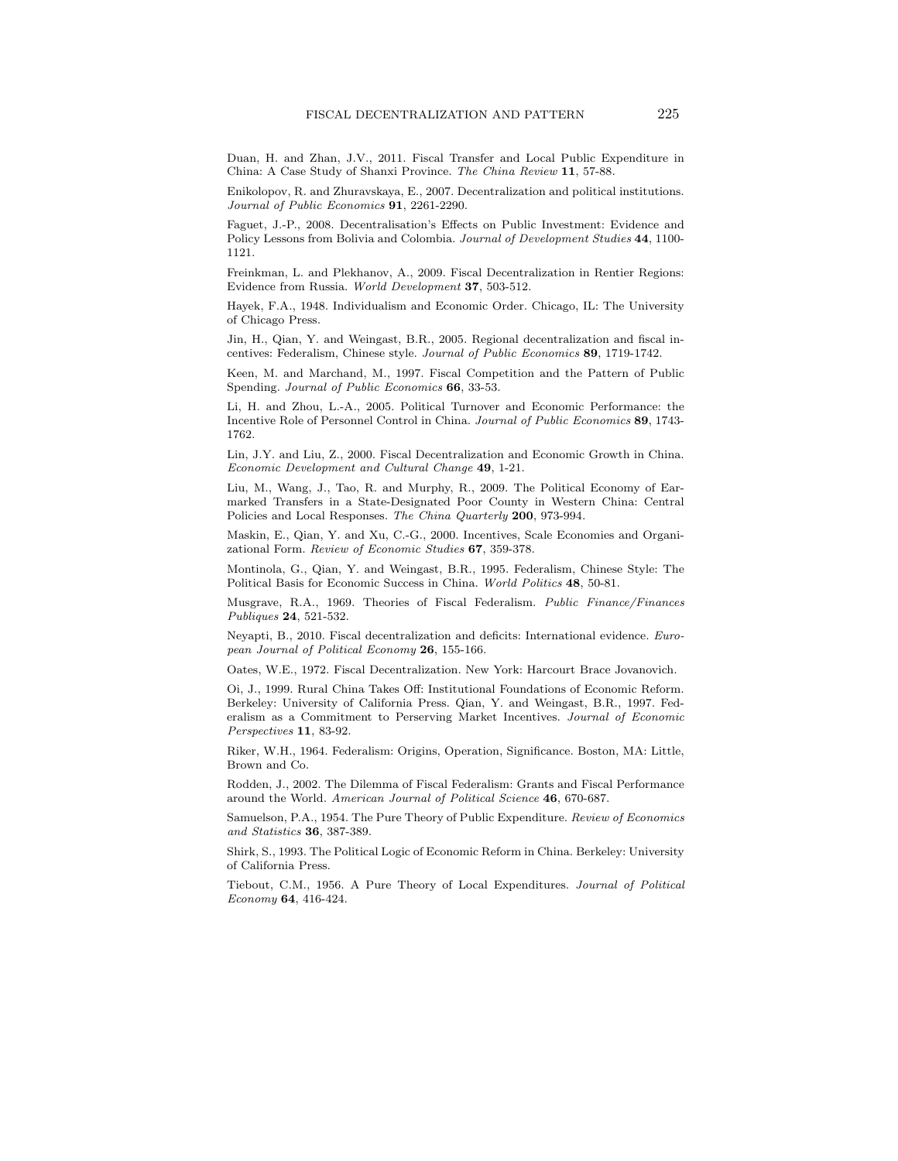Duan, H. and Zhan, J.V., 2011. Fiscal Transfer and Local Public Expenditure in China: A Case Study of Shanxi Province. The China Review 11, 57-88.

Enikolopov, R. and Zhuravskaya, E., 2007. Decentralization and political institutions. Journal of Public Economics 91, 2261-2290.

Faguet, J.-P., 2008. Decentralisation's Effects on Public Investment: Evidence and Policy Lessons from Bolivia and Colombia. Journal of Development Studies 44, 1100-1121.

Freinkman, L. and Plekhanov, A., 2009. Fiscal Decentralization in Rentier Regions: Evidence from Russia. World Development 37, 503-512.

Hayek, F.A., 1948. Individualism and Economic Order. Chicago, IL: The University of Chicago Press.

Jin, H., Qian, Y. and Weingast, B.R., 2005. Regional decentralization and fiscal incentives: Federalism, Chinese style. Journal of Public Economics 89, 1719-1742.

Keen, M. and Marchand, M., 1997. Fiscal Competition and the Pattern of Public Spending. Journal of Public Economics 66, 33-53.

Li, H. and Zhou, L.-A., 2005. Political Turnover and Economic Performance: the Incentive Role of Personnel Control in China. Journal of Public Economics 89, 1743- 1762.

Lin, J.Y. and Liu, Z., 2000. Fiscal Decentralization and Economic Growth in China. Economic Development and Cultural Change 49, 1-21.

Liu, M., Wang, J., Tao, R. and Murphy, R., 2009. The Political Economy of Earmarked Transfers in a State-Designated Poor County in Western China: Central Policies and Local Responses. The China Quarterly 200, 973-994.

Maskin, E., Qian, Y. and Xu, C.-G., 2000. Incentives, Scale Economies and Organizational Form. Review of Economic Studies 67, 359-378.

Montinola, G., Qian, Y. and Weingast, B.R., 1995. Federalism, Chinese Style: The Political Basis for Economic Success in China. World Politics 48, 50-81.

Musgrave, R.A., 1969. Theories of Fiscal Federalism. Public Finance/Finances Publiques 24, 521-532.

Neyapti, B., 2010. Fiscal decentralization and deficits: International evidence. European Journal of Political Economy 26, 155-166.

Oates, W.E., 1972. Fiscal Decentralization. New York: Harcourt Brace Jovanovich.

Oi, J., 1999. Rural China Takes Off: Institutional Foundations of Economic Reform. Berkeley: University of California Press. Qian, Y. and Weingast, B.R., 1997. Federalism as a Commitment to Perserving Market Incentives. Journal of Economic Perspectives 11, 83-92.

Riker, W.H., 1964. Federalism: Origins, Operation, Significance. Boston, MA: Little, Brown and Co.

Rodden, J., 2002. The Dilemma of Fiscal Federalism: Grants and Fiscal Performance around the World. American Journal of Political Science 46, 670-687.

Samuelson, P.A., 1954. The Pure Theory of Public Expenditure. Review of Economics and Statistics 36, 387-389.

Shirk, S., 1993. The Political Logic of Economic Reform in China. Berkeley: University of California Press.

Tiebout, C.M., 1956. A Pure Theory of Local Expenditures. Journal of Political Economy 64, 416-424.